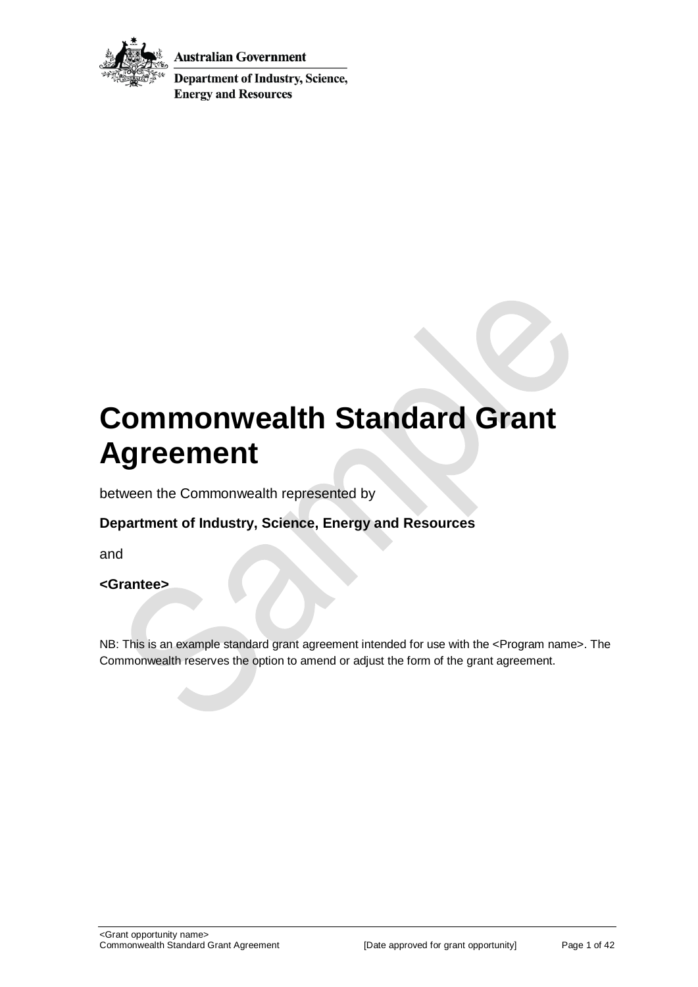

Australian Government

**Department of Industry, Science, Energy and Resources** 

# **Commonwealth Standard Grant Agreement**

between the Commonwealth represented by

## **Department of Industry, Science, Energy and Resources**

and

**<Grantee>**

NB: This is an example standard grant agreement intended for use with the <Program name>. The Commonwealth reserves the option to amend or adjust the form of the grant agreement.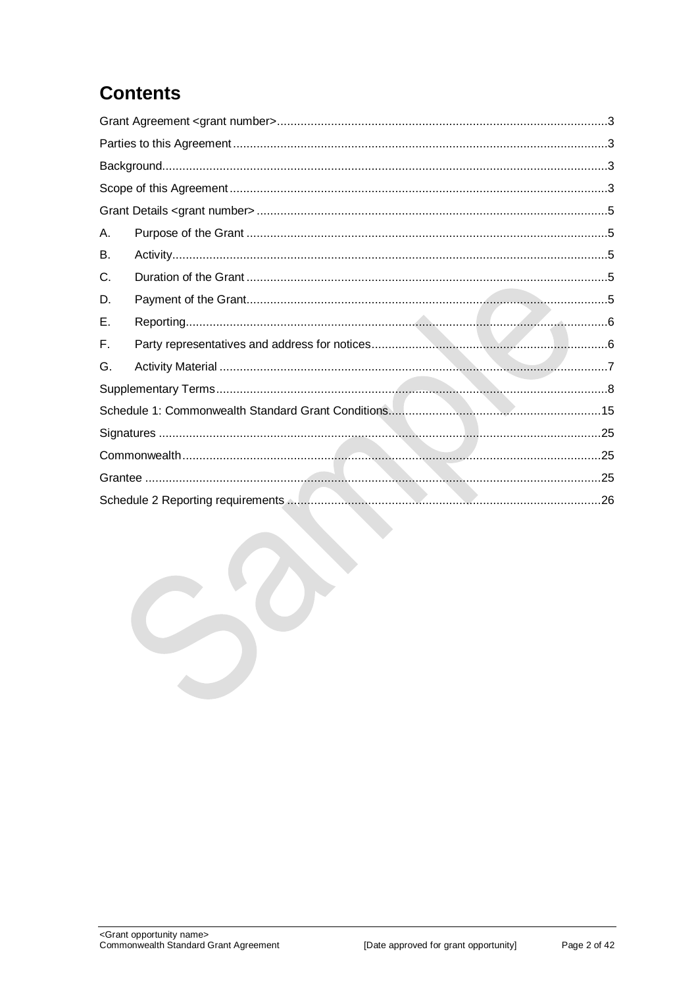## **Contents**

| Α. |  |  |  |
|----|--|--|--|
| B. |  |  |  |
| C. |  |  |  |
| D. |  |  |  |
| Ε. |  |  |  |
| F. |  |  |  |
| G. |  |  |  |
|    |  |  |  |
|    |  |  |  |
|    |  |  |  |
|    |  |  |  |
|    |  |  |  |
|    |  |  |  |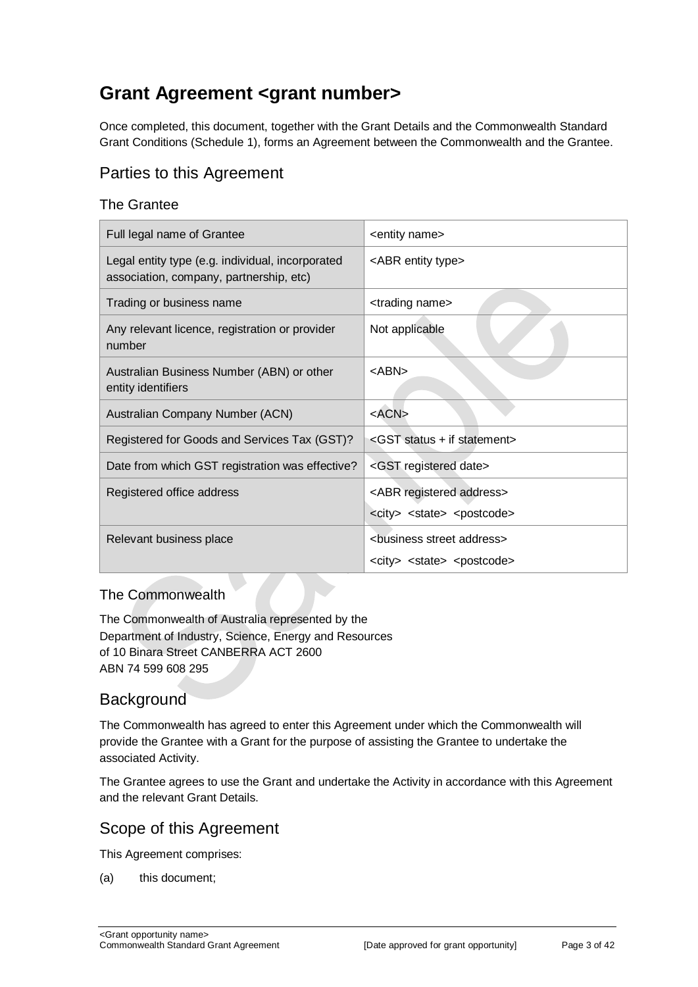## <span id="page-2-0"></span>**Grant Agreement <grant number>**

Once completed, this document, together with the Grant Details and the Commonwealth Standard Grant Conditions (Schedule 1), forms an Agreement between the Commonwealth and the Grantee.

## <span id="page-2-1"></span>Parties to this Agreement

#### The Grantee

| Full legal name of Grantee                                                                  | <entity name=""></entity>                                                                          |
|---------------------------------------------------------------------------------------------|----------------------------------------------------------------------------------------------------|
| Legal entity type (e.g. individual, incorporated<br>association, company, partnership, etc) | <abr entity="" type=""></abr>                                                                      |
| Trading or business name                                                                    | <trading name=""></trading>                                                                        |
| Any relevant licence, registration or provider<br>number                                    | Not applicable                                                                                     |
| Australian Business Number (ABN) or other<br>entity identifiers                             | $<$ ABN $>$                                                                                        |
| Australian Company Number (ACN)                                                             | $<$ ACN $>$                                                                                        |
| Registered for Goods and Services Tax (GST)?                                                | <gst +="" if="" statement="" status=""></gst>                                                      |
| Date from which GST registration was effective?                                             | <gst date="" registered=""></gst>                                                                  |
| Registered office address                                                                   | <abr address="" registered=""><br/><city> <state> <postcode></postcode></state></city></abr>       |
| Relevant business place                                                                     | <business address="" street=""><br/><city> <state> <postcode></postcode></state></city></business> |

#### The Commonwealth

The Commonwealth of Australia represented by the Department of Industry, Science, Energy and Resources of 10 Binara Street CANBERRA ACT 2600 ABN 74 599 608 295

## <span id="page-2-2"></span>**Background**

The Commonwealth has agreed to enter this Agreement under which the Commonwealth will provide the Grantee with a Grant for the purpose of assisting the Grantee to undertake the associated Activity.

The Grantee agrees to use the Grant and undertake the Activity in accordance with this Agreement and the relevant Grant Details.

#### <span id="page-2-3"></span>Scope of this Agreement

This Agreement comprises:

(a) this document;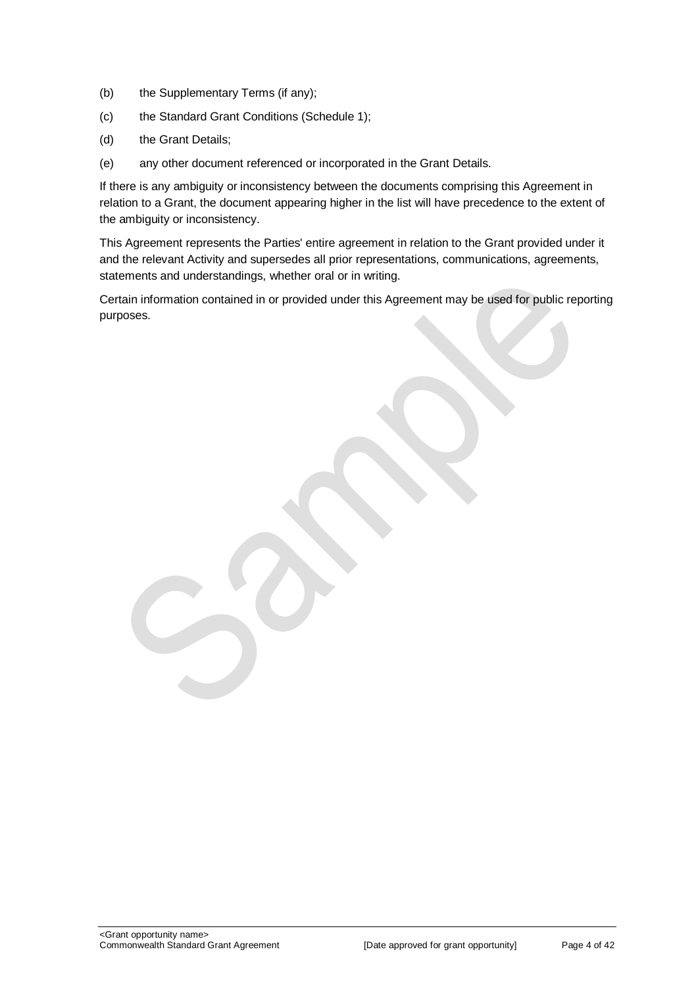- (b) the Supplementary Terms (if any);
- (c) the Standard Grant Conditions (Schedule 1);
- (d) the Grant Details;
- (e) any other document referenced or incorporated in the Grant Details.

If there is any ambiguity or inconsistency between the documents comprising this Agreement in relation to a Grant, the document appearing higher in the list will have precedence to the extent of the ambiguity or inconsistency.

This Agreement represents the Parties' entire agreement in relation to the Grant provided under it and the relevant Activity and supersedes all prior representations, communications, agreements, statements and understandings, whether oral or in writing.

Certain information contained in or provided under this Agreement may be used for public reporting purposes.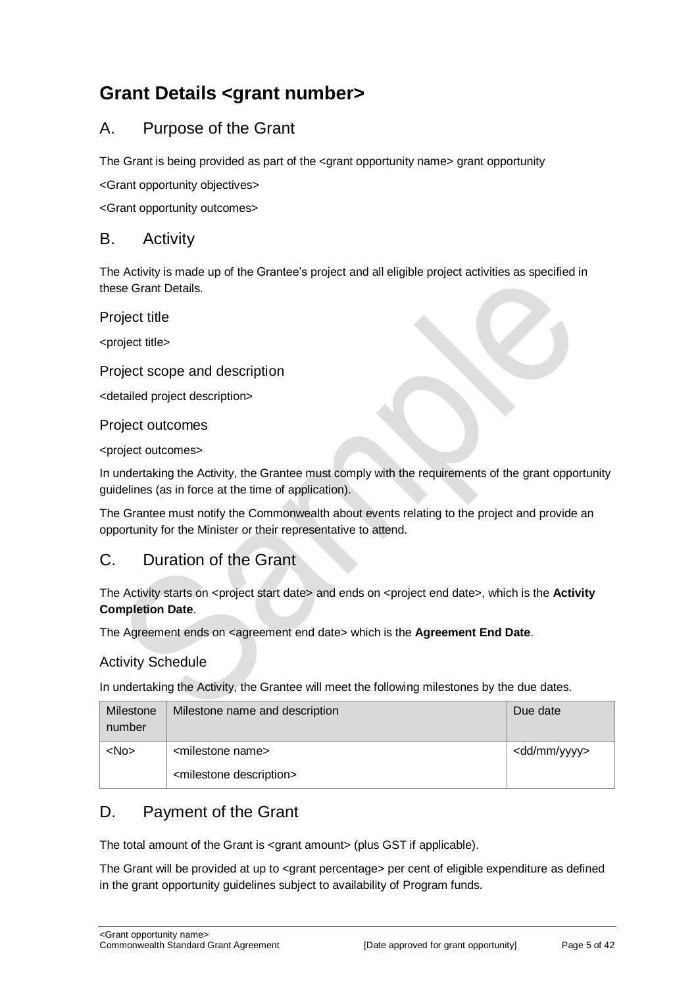## <span id="page-4-0"></span>**Grant Details <grant number>**

## <span id="page-4-1"></span>A. Purpose of the Grant

The Grant is being provided as part of the  $\alpha$  and opportunity name arant opportunity

<Grant opportunity objectives>

<Grant opportunity outcomes>

#### <span id="page-4-2"></span>B. Activity

The Activity is made up of the Grantee's project and all eligible project activities as specified in these Grant Details.

Project title

<project title>

#### Project scope and description

<detailed project description>

Project outcomes

<project outcomes>

In undertaking the Activity, the Grantee must comply with the requirements of the grant opportunity guidelines (as in force at the time of application).

The Grantee must notify the Commonwealth about events relating to the project and provide an opportunity for the Minister or their representative to attend.

## <span id="page-4-3"></span>C. Duration of the Grant

The Activity starts on <project start date> and ends on <project end date>, which is the Activity **Completion Date**.

The Agreement ends on <agreement end date> which is the **Agreement End Date**.

#### Activity Schedule

In undertaking the Activity, the Grantee will meet the following milestones by the due dates.

| Milestone<br>number | Milestone name and description         | Due date                |
|---------------------|----------------------------------------|-------------------------|
| $<$ No $>$          | <milestone name=""></milestone>        | <dd mm="" yyyy=""></dd> |
|                     | <milestone description=""></milestone> |                         |

## <span id="page-4-4"></span>D. Payment of the Grant

The total amount of the Grant is <grant amount> (plus GST if applicable).

The Grant will be provided at up to <grant percentage> per cent of eligible expenditure as defined in the grant opportunity guidelines subject to availability of Program funds.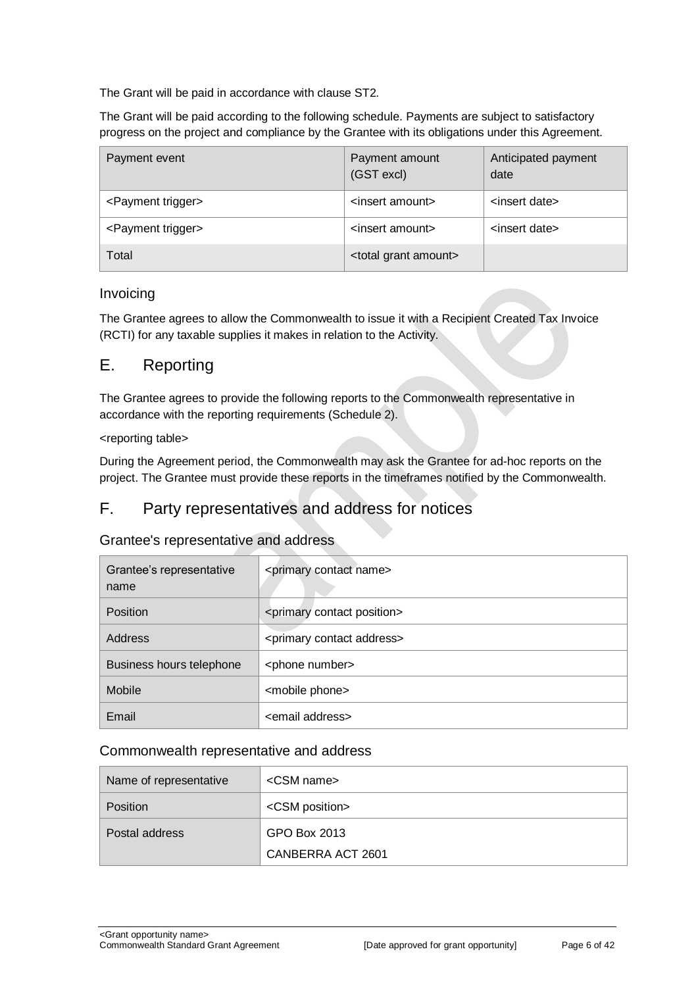The Grant will be paid in accordance with clause [ST2.](#page-7-1)

The Grant will be paid according to the following schedule. Payments are subject to satisfactory progress on the project and compliance by the Grantee with its obligations under this Agreement.

| Payment event                  | Payment amount<br>(GST excl)       | Anticipated payment<br>date |
|--------------------------------|------------------------------------|-----------------------------|
| <payment trigger=""></payment> | <insert amount=""></insert>        | <insert date=""></insert>   |
| <payment trigger=""></payment> | <insert amount=""></insert>        | <insert date=""></insert>   |
| Total                          | <total amount="" grant=""></total> |                             |

#### Invoicing

The Grantee agrees to allow the Commonwealth to issue it with a Recipient Created Tax Invoice (RCTI) for any taxable supplies it makes in relation to the Activity.

### <span id="page-5-0"></span>E. Reporting

The Grantee agrees to provide the following reports to the Commonwealth representative in accordance with the reporting requirements (Schedule 2).

#### <reporting table>

During the Agreement period, the Commonwealth may ask the Grantee for ad-hoc reports on the project. The Grantee must provide these reports in the timeframes notified by the Commonwealth.

## <span id="page-5-1"></span>F. Party representatives and address for notices

#### Grantee's representative and address

| Grantee's representative<br>name | <primary contact="" name=""></primary>     |
|----------------------------------|--------------------------------------------|
| <b>Position</b>                  | <primary contact="" position=""></primary> |
| Address                          | <primary address="" contact=""></primary>  |
| Business hours telephone         | <phone number=""></phone>                  |
| Mobile                           | <mobile phone=""></mobile>                 |
| Email                            | <email address=""></email>                 |

#### Commonwealth representative and address

| Name of representative | $\leq$ CSM name $\geq$  |
|------------------------|-------------------------|
| Position               | <csm position=""></csm> |
| Postal address         | GPO Box 2013            |
|                        | CANBERRA ACT 2601       |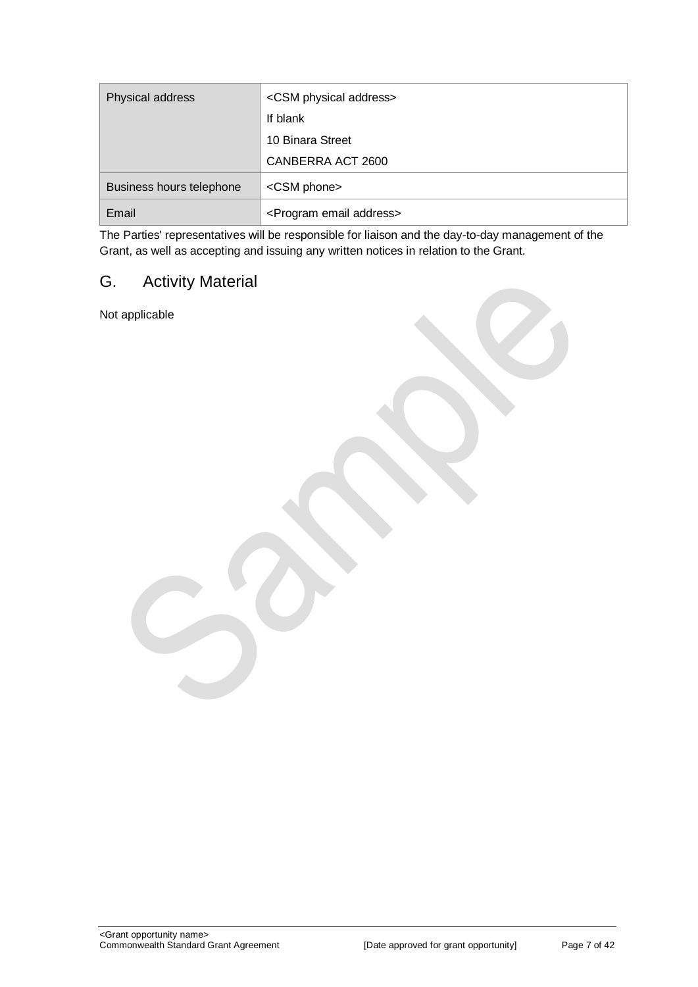| Physical address         | <csm address="" physical=""></csm>      |
|--------------------------|-----------------------------------------|
|                          | If blank                                |
|                          | 10 Binara Street                        |
|                          | CANBERRA ACT 2600                       |
| Business hours telephone | <csm phone=""></csm>                    |
| Email                    | <program address="" email=""></program> |

The Parties' representatives will be responsible for liaison and the day-to-day management of the Grant, as well as accepting and issuing any written notices in relation to the Grant.

## <span id="page-6-0"></span>G. Activity Material

Not applicable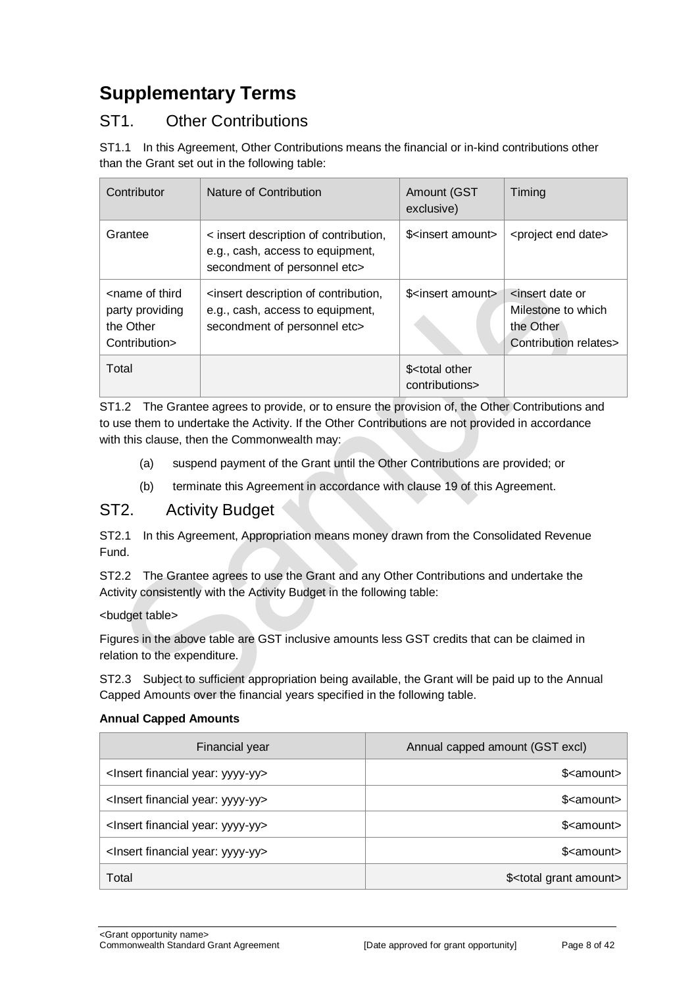## <span id="page-7-0"></span>**Supplementary Terms**

## ST1. Other Contributions

ST1.1 In this Agreement, Other Contributions means the financial or in-kind contributions other than the Grant set out in the following table:

| Contributor                                                                       | Nature of Contribution                                                                                                         | Amount (GST<br>exclusive)                                                        | Timing                                                                      |
|-----------------------------------------------------------------------------------|--------------------------------------------------------------------------------------------------------------------------------|----------------------------------------------------------------------------------|-----------------------------------------------------------------------------|
| Grantee                                                                           | < insert description of contribution,<br>e.g., cash, access to equipment,<br>secondment of personnel etc>                      | \$ <insert amount<="" td=""><td><project date="" end=""></project></td></insert> | <project date="" end=""></project>                                          |
| <name of="" third<br="">party providing<br/>the Other<br/>Contribution&gt;</name> | <insert contribution,<br="" description="" of="">e.g., cash, access to equipment,<br/>secondment of personnel etc&gt;</insert> | \$ <insert amount=""></insert>                                                   | sinsert date or<br>Milestone to which<br>the Other<br>Contribution relates> |
| Total                                                                             |                                                                                                                                | \$ <total other<br="">contributions&gt;</total>                                  |                                                                             |

ST1.2 The Grantee agrees to provide, or to ensure the provision of, the Other Contributions and to use them to undertake the Activity. If the Other Contributions are not provided in accordance with this clause, then the Commonwealth may:

- (a) suspend payment of the Grant until the Other Contributions are provided; or
- (b) terminate this Agreement in accordance with clause 19 of this Agreement.

### <span id="page-7-1"></span>ST2. Activity Budget

ST2.1 In this Agreement, Appropriation means money drawn from the Consolidated Revenue Fund.

ST2.2 The Grantee agrees to use the Grant and any Other Contributions and undertake the Activity consistently with the Activity Budget in the following table:

#### <budget table>

Figures in the above table are GST inclusive amounts less GST credits that can be claimed in relation to the expenditure.

ST2.3 Subject to sufficient appropriation being available, the Grant will be paid up to the Annual Capped Amounts over the financial years specified in the following table.

#### **Annual Capped Amounts**

| Financial year                                     | Annual capped amount (GST excl)       |
|----------------------------------------------------|---------------------------------------|
| <lnsert financial="" year:="" yyyy-yy=""></lnsert> | \$ <amount></amount>                  |
| <lnsert financial="" year:="" yyyy-yy=""></lnsert> | \$ <amount></amount>                  |
| <lnsert financial="" year:="" yyyy-yy=""></lnsert> | \$ <amount></amount>                  |
| <lnsert financial="" year:="" yyyy-yy=""></lnsert> | \$ <amount></amount>                  |
| Total                                              | \$ <total amount="" grant=""></total> |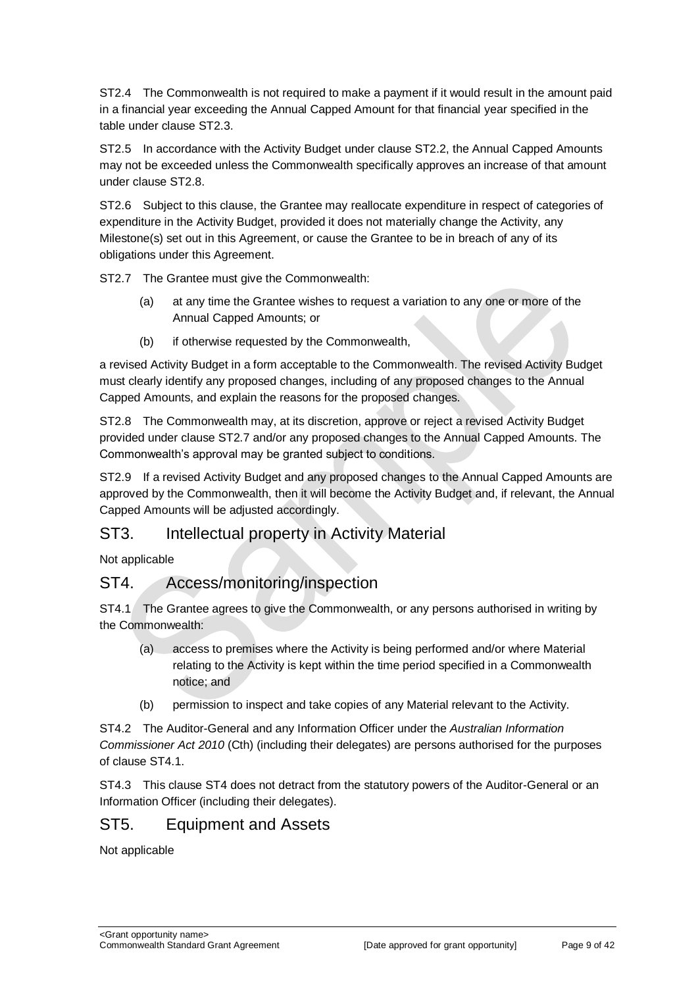ST2.4 The Commonwealth is not required to make a payment if it would result in the amount paid in a financial year exceeding the Annual Capped Amount for that financial year specified in the table under clause ST2.3.

ST2.5 In accordance with the Activity Budget under clause ST2.2, the Annual Capped Amounts may not be exceeded unless the Commonwealth specifically approves an increase of that amount under clause ST2.8.

ST2.6 Subject to this clause, the Grantee may reallocate expenditure in respect of categories of expenditure in the Activity Budget, provided it does not materially change the Activity, any Milestone(s) set out in this Agreement, or cause the Grantee to be in breach of any of its obligations under this Agreement.

ST2.7 The Grantee must give the Commonwealth:

- (a) at any time the Grantee wishes to request a variation to any one or more of the Annual Capped Amounts; or
- (b) if otherwise requested by the Commonwealth,

a revised Activity Budget in a form acceptable to the Commonwealth. The revised Activity Budget must clearly identify any proposed changes, including of any proposed changes to the Annual Capped Amounts, and explain the reasons for the proposed changes.

ST2.8 The Commonwealth may, at its discretion, approve or reject a revised Activity Budget provided under clause ST2.7 and/or any proposed changes to the Annual Capped Amounts. The Commonwealth's approval may be granted subject to conditions.

ST2.9 If a revised Activity Budget and any proposed changes to the Annual Capped Amounts are approved by the Commonwealth, then it will become the Activity Budget and, if relevant, the Annual Capped Amounts will be adjusted accordingly.

## ST3. Intellectual property in Activity Material

Not applicable

## ST4. Access/monitoring/inspection

ST4.1 The Grantee agrees to give the Commonwealth, or any persons authorised in writing by the Commonwealth:

- (a) access to premises where the Activity is being performed and/or where Material relating to the Activity is kept within the time period specified in a Commonwealth notice; and
- (b) permission to inspect and take copies of any Material relevant to the Activity.

ST4.2 The Auditor-General and any Information Officer under the *Australian Information Commissioner Act 2010* (Cth) (including their delegates) are persons authorised for the purposes of clause ST4.1.

ST4.3 This clause ST4 does not detract from the statutory powers of the Auditor-General or an Information Officer (including their delegates).

## ST5. Equipment and Assets

Not applicable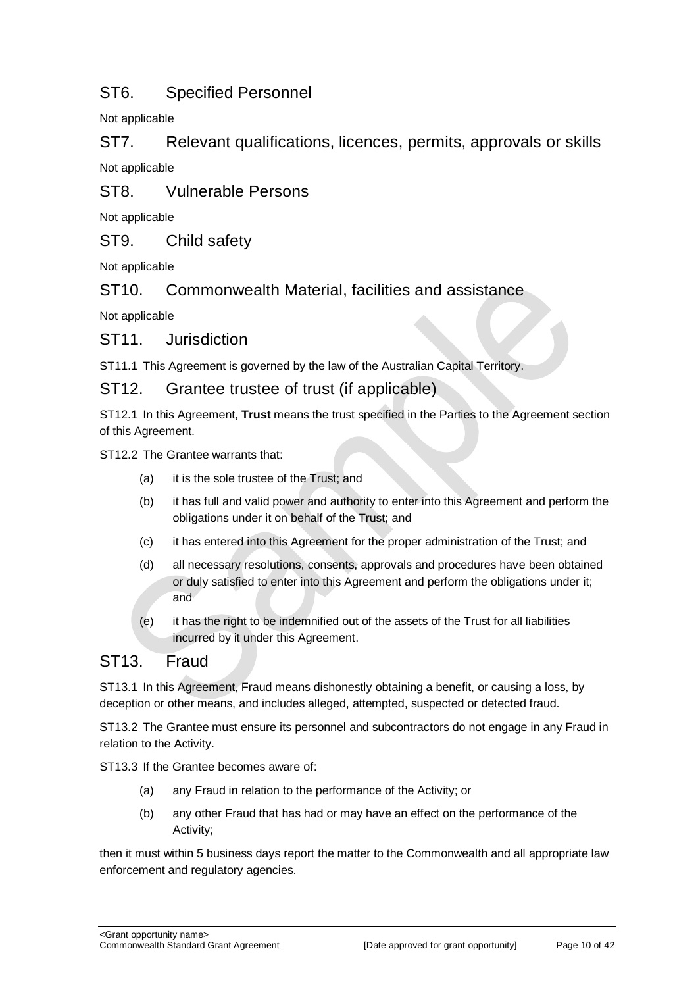## ST6. Specified Personnel

Not applicable

ST7. Relevant qualifications, licences, permits, approvals or skills Not applicable

ST8. Vulnerable Persons

Not applicable

ST9. Child safety

Not applicable

ST10. Commonwealth Material, facilities and assistance

Not applicable

ST11. Jurisdiction

ST11.1 This Agreement is governed by the law of the Australian Capital Territory.

### ST12. Grantee trustee of trust (if applicable)

ST12.1 In this Agreement, **Trust** means the trust specified in the Parties to the Agreement section of this Agreement.

ST12.2 The Grantee warrants that:

- (a) it is the sole trustee of the Trust; and
- (b) it has full and valid power and authority to enter into this Agreement and perform the obligations under it on behalf of the Trust; and
- (c) it has entered into this Agreement for the proper administration of the Trust; and
- (d) all necessary resolutions, consents, approvals and procedures have been obtained or duly satisfied to enter into this Agreement and perform the obligations under it; and
- (e) it has the right to be indemnified out of the assets of the Trust for all liabilities incurred by it under this Agreement.

## ST13. Fraud

ST13.1 In this Agreement, Fraud means dishonestly obtaining a benefit, or causing a loss, by deception or other means, and includes alleged, attempted, suspected or detected fraud.

ST13.2 The Grantee must ensure its personnel and subcontractors do not engage in any Fraud in relation to the Activity.

ST13.3 If the Grantee becomes aware of:

- (a) any Fraud in relation to the performance of the Activity; or
- (b) any other Fraud that has had or may have an effect on the performance of the Activity;

then it must within 5 business days report the matter to the Commonwealth and all appropriate law enforcement and regulatory agencies.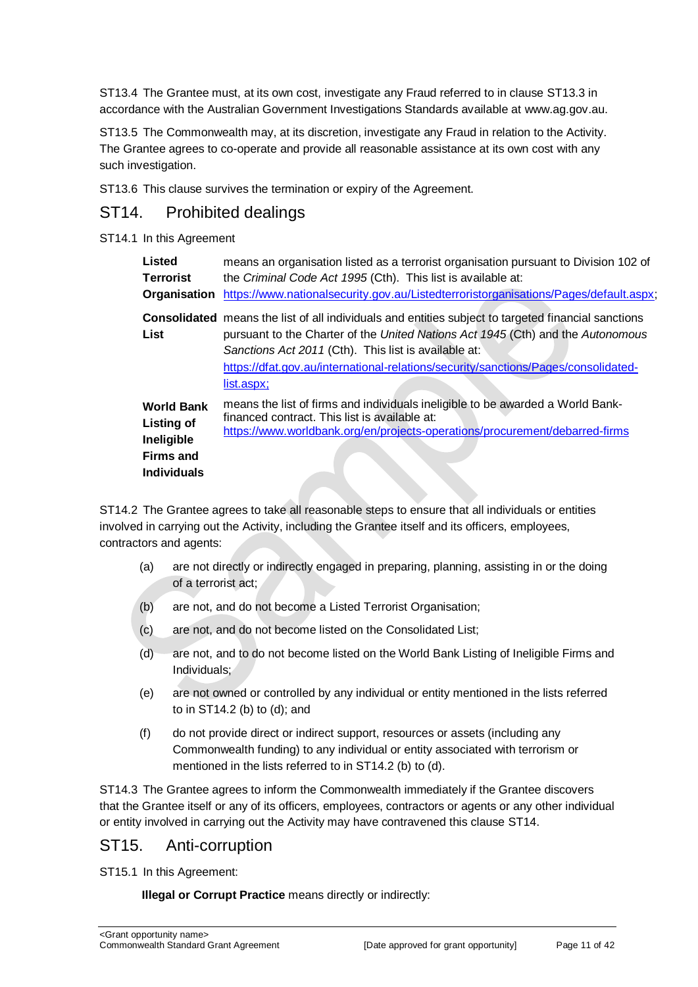ST13.4 The Grantee must, at its own cost, investigate any Fraud referred to in clause ST13.3 in accordance with the Australian Government Investigations Standards available at [www.ag.gov.au.](http://www.ag.gov.au/)

ST13.5 The Commonwealth may, at its discretion, investigate any Fraud in relation to the Activity. The Grantee agrees to co-operate and provide all reasonable assistance at its own cost with any such investigation.

ST13.6 This clause survives the termination or expiry of the Agreement.

## ST14. Prohibited dealings

#### ST14.1 In this Agreement

| <b>Listed</b><br><b>Terrorist</b><br>Organisation                                              | means an organisation listed as a terrorist organisation pursuant to Division 102 of<br>the Criminal Code Act 1995 (Cth). This list is available at:<br>https://www.nationalsecurity.gov.au/Listedterroristorganisations/Pages/default.aspx;                                                                                                              |
|------------------------------------------------------------------------------------------------|-----------------------------------------------------------------------------------------------------------------------------------------------------------------------------------------------------------------------------------------------------------------------------------------------------------------------------------------------------------|
| <b>List</b>                                                                                    | <b>Consolidated</b> means the list of all individuals and entities subject to targeted financial sanctions<br>pursuant to the Charter of the United Nations Act 1945 (Cth) and the Autonomous<br>Sanctions Act 2011 (Cth). This list is available at:<br>https://dfat.gov.au/international-relations/security/sanctions/Pages/consolidated-<br>list.aspx; |
| <b>World Bank</b><br><b>Listing of</b><br>Ineligible<br><b>Firms and</b><br><b>Individuals</b> | means the list of firms and individuals ineligible to be awarded a World Bank-<br>financed contract. This list is available at:<br>https://www.worldbank.org/en/projects-operations/procurement/debarred-firms                                                                                                                                            |

ST14.2 The Grantee agrees to take all reasonable steps to ensure that all individuals or entities involved in carrying out the Activity, including the Grantee itself and its officers, employees, contractors and agents:

- (a) are not directly or indirectly engaged in preparing, planning, assisting in or the doing of a terrorist act;
- (b) are not, and do not become a Listed Terrorist Organisation;
- (c) are not, and do not become listed on the Consolidated List;
- (d) are not, and to do not become listed on the World Bank Listing of Ineligible Firms and Individuals;
- (e) are not owned or controlled by any individual or entity mentioned in the lists referred to in ST14.2 (b) to (d); and
- (f) do not provide direct or indirect support, resources or assets (including any Commonwealth funding) to any individual or entity associated with terrorism or mentioned in the lists referred to in ST14.2 (b) to (d).

ST14.3 The Grantee agrees to inform the Commonwealth immediately if the Grantee discovers that the Grantee itself or any of its officers, employees, contractors or agents or any other individual or entity involved in carrying out the Activity may have contravened this clause ST14.

## ST15. Anti-corruption

ST15.1 In this Agreement:

**Illegal or Corrupt Practice** means directly or indirectly: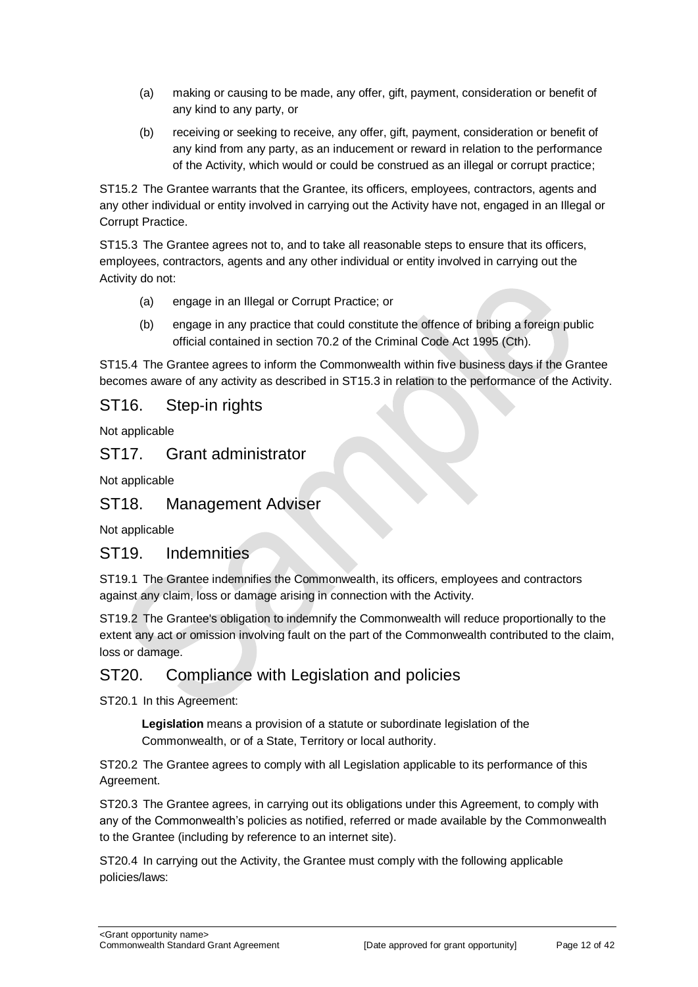- (a) making or causing to be made, any offer, gift, payment, consideration or benefit of any kind to any party, or
- (b) receiving or seeking to receive, any offer, gift, payment, consideration or benefit of any kind from any party, as an inducement or reward in relation to the performance of the Activity, which would or could be construed as an illegal or corrupt practice;

ST15.2 The Grantee warrants that the Grantee, its officers, employees, contractors, agents and any other individual or entity involved in carrying out the Activity have not, engaged in an Illegal or Corrupt Practice.

ST15.3 The Grantee agrees not to, and to take all reasonable steps to ensure that its officers, employees, contractors, agents and any other individual or entity involved in carrying out the Activity do not:

- (a) engage in an Illegal or Corrupt Practice; or
- (b) engage in any practice that could constitute the offence of bribing a foreign public official contained in section 70.2 of the Criminal Code Act 1995 (Cth).

ST15.4 The Grantee agrees to inform the Commonwealth within five business days if the Grantee becomes aware of any activity as described in ST15.3 in relation to the performance of the Activity.

### ST16. Step-in rights

Not applicable

#### ST17. Grant administrator

Not applicable

## ST18. Management Adviser

Not applicable

#### ST19. Indemnities

ST19.1 The Grantee indemnifies the Commonwealth, its officers, employees and contractors against any claim, loss or damage arising in connection with the Activity.

ST19.2 The Grantee's obligation to indemnify the Commonwealth will reduce proportionally to the extent any act or omission involving fault on the part of the Commonwealth contributed to the claim, loss or damage.

## ST20. Compliance with Legislation and policies

ST20.1 In this Agreement:

**Legislation** means a provision of a statute or subordinate legislation of the Commonwealth, or of a State, Territory or local authority.

ST20.2 The Grantee agrees to comply with all Legislation applicable to its performance of this Agreement.

ST20.3 The Grantee agrees, in carrying out its obligations under this Agreement, to comply with any of the Commonwealth's policies as notified, referred or made available by the Commonwealth to the Grantee (including by reference to an internet site).

ST20.4 In carrying out the Activity, the Grantee must comply with the following applicable policies/laws: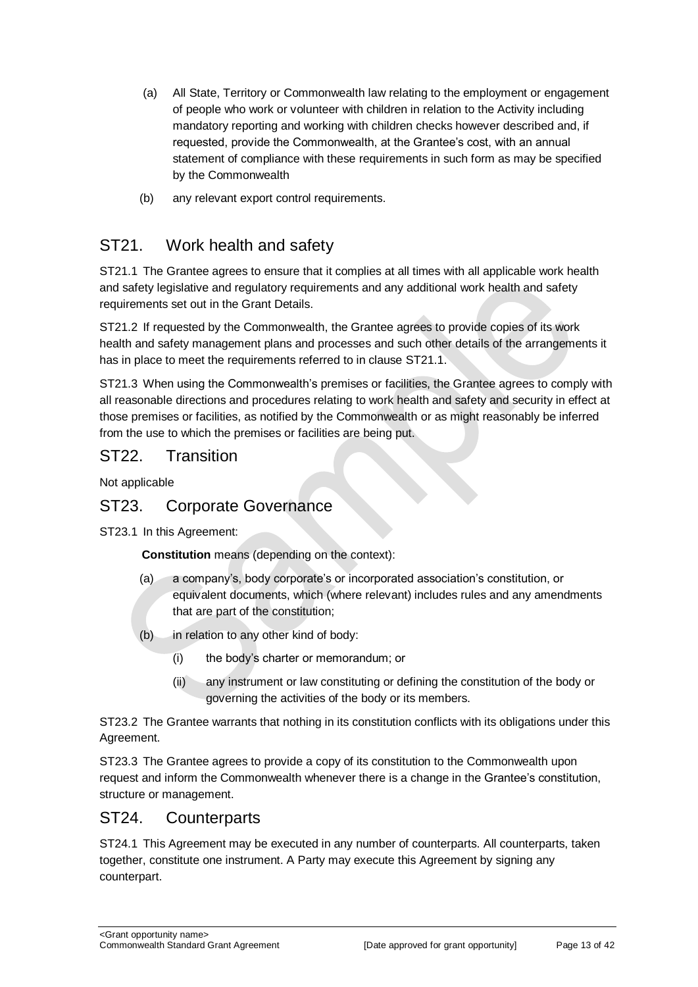- (a) All State, Territory or Commonwealth law relating to the employment or engagement of people who work or volunteer with children in relation to the Activity including mandatory reporting and working with children checks however described and, if requested, provide the Commonwealth, at the Grantee's cost, with an annual statement of compliance with these requirements in such form as may be specified by the Commonwealth
- (b) any relevant export control requirements.

## ST21. Work health and safety

ST21.1 The Grantee agrees to ensure that it complies at all times with all applicable work health and safety legislative and regulatory requirements and any additional work health and safety requirements set out in the Grant Details.

ST21.2 If requested by the Commonwealth, the Grantee agrees to provide copies of its work health and safety management plans and processes and such other details of the arrangements it has in place to meet the requirements referred to in clause ST21.1.

ST21.3 When using the Commonwealth's premises or facilities, the Grantee agrees to comply with all reasonable directions and procedures relating to work health and safety and security in effect at those premises or facilities, as notified by the Commonwealth or as might reasonably be inferred from the use to which the premises or facilities are being put.

## ST22. Transition

Not applicable

## ST23. Corporate Governance

ST23.1 In this Agreement:

**Constitution** means (depending on the context):

- (a) a company's, body corporate's or incorporated association's constitution, or equivalent documents, which (where relevant) includes rules and any amendments that are part of the constitution;
- (b) in relation to any other kind of body:
	- (i) the body's charter or memorandum; or
	- (ii) any instrument or law constituting or defining the constitution of the body or governing the activities of the body or its members.

ST23.2 The Grantee warrants that nothing in its constitution conflicts with its obligations under this Agreement.

ST23.3 The Grantee agrees to provide a copy of its constitution to the Commonwealth upon request and inform the Commonwealth whenever there is a change in the Grantee's constitution, structure or management.

## ST24. Counterparts

ST24.1 This Agreement may be executed in any number of counterparts. All counterparts, taken together, constitute one instrument. A Party may execute this Agreement by signing any counterpart.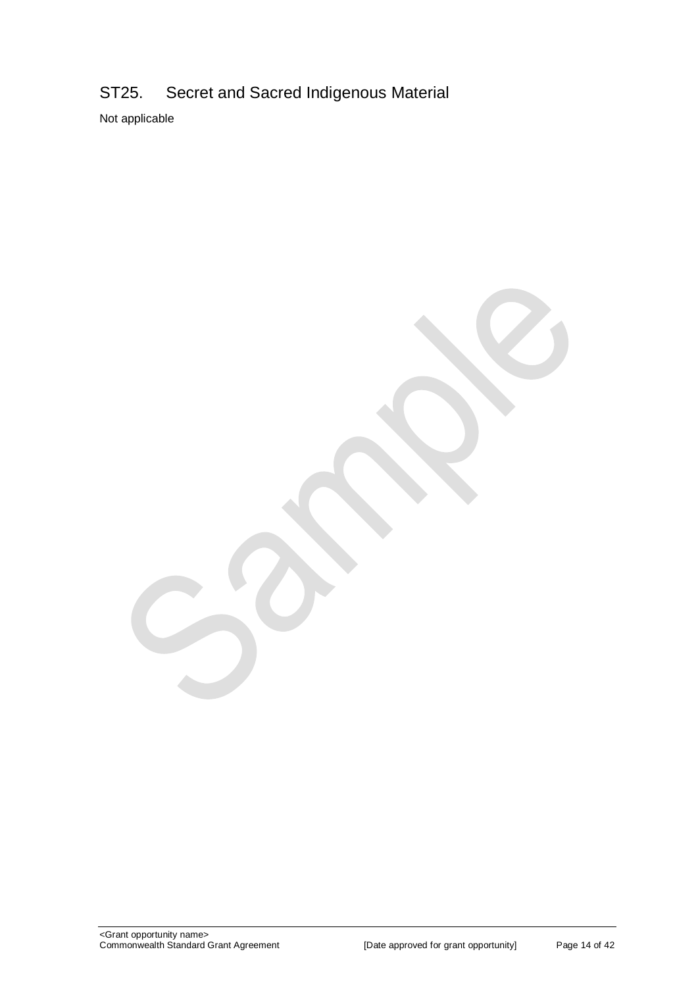## ST25. Secret and Sacred Indigenous Material

Not applicable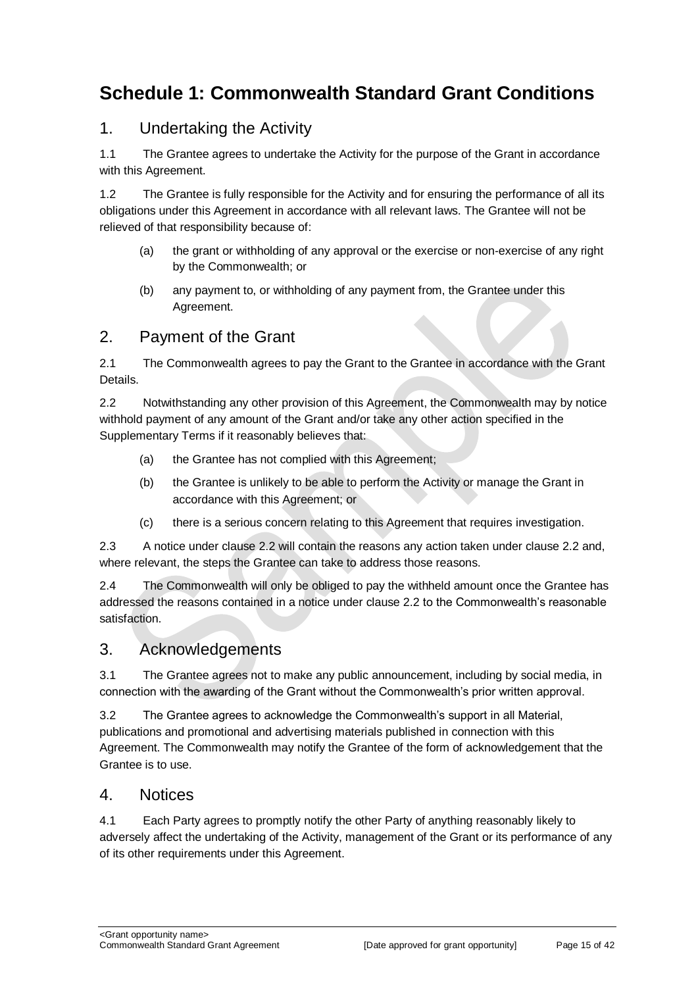## <span id="page-14-0"></span>**Schedule 1: Commonwealth Standard Grant Conditions**

## 1. Undertaking the Activity

1.1 The Grantee agrees to undertake the Activity for the purpose of the Grant in accordance with this Agreement.

1.2 The Grantee is fully responsible for the Activity and for ensuring the performance of all its obligations under this Agreement in accordance with all relevant laws. The Grantee will not be relieved of that responsibility because of:

- (a) the grant or withholding of any approval or the exercise or non‐exercise of any right by the Commonwealth; or
- (b) any payment to, or withholding of any payment from, the Grantee under this Agreement.

## 2. Payment of the Grant

2.1 The Commonwealth agrees to pay the Grant to the Grantee in accordance with the Grant Details.

2.2 Notwithstanding any other provision of this Agreement, the Commonwealth may by notice withhold payment of any amount of the Grant and/or take any other action specified in the Supplementary Terms if it reasonably believes that:

- (a) the Grantee has not complied with this Agreement;
- (b) the Grantee is unlikely to be able to perform the Activity or manage the Grant in accordance with this Agreement; or
- (c) there is a serious concern relating to this Agreement that requires investigation.

2.3 A notice under clause 2.2 will contain the reasons any action taken under clause 2.2 and, where relevant, the steps the Grantee can take to address those reasons.

2.4 The Commonwealth will only be obliged to pay the withheld amount once the Grantee has addressed the reasons contained in a notice under clause 2.2 to the Commonwealth's reasonable satisfaction.

## 3. Acknowledgements

3.1 The Grantee agrees not to make any public announcement, including by social media, in connection with the awarding of the Grant without the Commonwealth's prior written approval.

3.2 The Grantee agrees to acknowledge the Commonwealth's support in all Material, publications and promotional and advertising materials published in connection with this Agreement. The Commonwealth may notify the Grantee of the form of acknowledgement that the Grantee is to use.

## 4. Notices

4.1 Each Party agrees to promptly notify the other Party of anything reasonably likely to adversely affect the undertaking of the Activity, management of the Grant or its performance of any of its other requirements under this Agreement.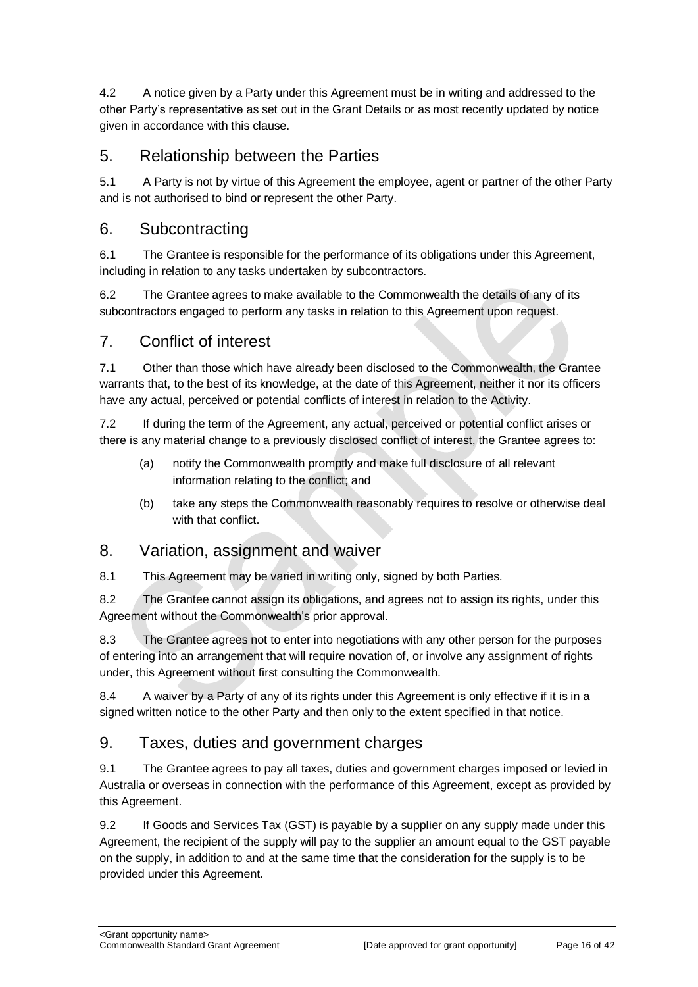4.2 A notice given by a Party under this Agreement must be in writing and addressed to the other Party's representative as set out in the Grant Details or as most recently updated by notice given in accordance with this clause.

## 5. Relationship between the Parties

5.1 A Party is not by virtue of this Agreement the employee, agent or partner of the other Party and is not authorised to bind or represent the other Party.

## 6. Subcontracting

6.1 The Grantee is responsible for the performance of its obligations under this Agreement, including in relation to any tasks undertaken by subcontractors.

6.2 The Grantee agrees to make available to the Commonwealth the details of any of its subcontractors engaged to perform any tasks in relation to this Agreement upon request.

## 7. Conflict of interest

7.1 Other than those which have already been disclosed to the Commonwealth, the Grantee warrants that, to the best of its knowledge, at the date of this Agreement, neither it nor its officers have any actual, perceived or potential conflicts of interest in relation to the Activity.

7.2 If during the term of the Agreement, any actual, perceived or potential conflict arises or there is any material change to a previously disclosed conflict of interest, the Grantee agrees to:

- (a) notify the Commonwealth promptly and make full disclosure of all relevant information relating to the conflict; and
- (b) take any steps the Commonwealth reasonably requires to resolve or otherwise deal with that conflict.

## 8. Variation, assignment and waiver

8.1 This Agreement may be varied in writing only, signed by both Parties.

8.2 The Grantee cannot assign its obligations, and agrees not to assign its rights, under this Agreement without the Commonwealth's prior approval.

8.3 The Grantee agrees not to enter into negotiations with any other person for the purposes of entering into an arrangement that will require novation of, or involve any assignment of rights under, this Agreement without first consulting the Commonwealth.

8.4 A waiver by a Party of any of its rights under this Agreement is only effective if it is in a signed written notice to the other Party and then only to the extent specified in that notice.

## 9. Taxes, duties and government charges

9.1 The Grantee agrees to pay all taxes, duties and government charges imposed or levied in Australia or overseas in connection with the performance of this Agreement, except as provided by this Agreement.

9.2 If Goods and Services Tax (GST) is payable by a supplier on any supply made under this Agreement, the recipient of the supply will pay to the supplier an amount equal to the GST payable on the supply, in addition to and at the same time that the consideration for the supply is to be provided under this Agreement.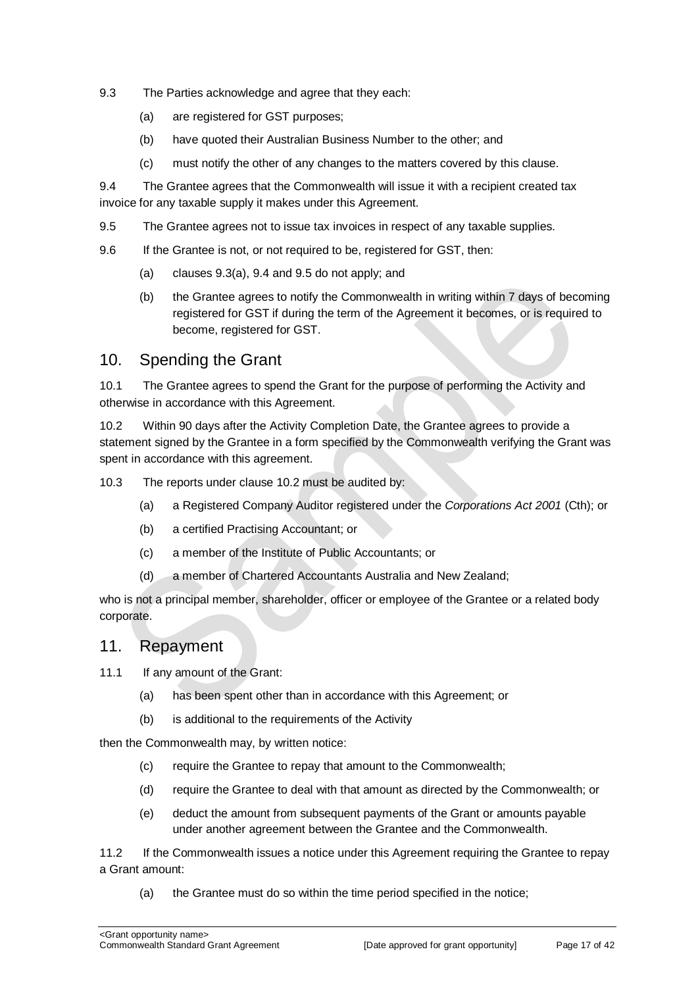- 9.3 The Parties acknowledge and agree that they each:
	- (a) are registered for GST purposes;
	- (b) have quoted their Australian Business Number to the other; and
	- (c) must notify the other of any changes to the matters covered by this clause.

9.4 The Grantee agrees that the Commonwealth will issue it with a recipient created tax invoice for any taxable supply it makes under this Agreement.

- 9.5 The Grantee agrees not to issue tax invoices in respect of any taxable supplies.
- 9.6 If the Grantee is not, or not required to be, registered for GST, then:
	- (a) clauses 9.3(a), 9.4 and 9.5 do not apply; and
	- (b) the Grantee agrees to notify the Commonwealth in writing within 7 days of becoming registered for GST if during the term of the Agreement it becomes, or is required to become, registered for GST.

## 10. Spending the Grant

10.1 The Grantee agrees to spend the Grant for the purpose of performing the Activity and otherwise in accordance with this Agreement.

10.2 Within 90 days after the Activity Completion Date, the Grantee agrees to provide a statement signed by the Grantee in a form specified by the Commonwealth verifying the Grant was spent in accordance with this agreement.

10.3 The reports under clause 10.2 must be audited by:

- (a) a Registered Company Auditor registered under the *Corporations Act 2001* (Cth); or
- (b) a certified Practising Accountant; or
- (c) a member of the Institute of Public Accountants; or
- (d) a member of Chartered Accountants Australia and New Zealand;

who is not a principal member, shareholder, officer or employee of the Grantee or a related body corporate.

#### 11. Repayment

11.1 If any amount of the Grant:

- (a) has been spent other than in accordance with this Agreement; or
- (b) is additional to the requirements of the Activity

then the Commonwealth may, by written notice:

- (c) require the Grantee to repay that amount to the Commonwealth;
- (d) require the Grantee to deal with that amount as directed by the Commonwealth; or
- (e) deduct the amount from subsequent payments of the Grant or amounts payable under another agreement between the Grantee and the Commonwealth.

11.2 If the Commonwealth issues a notice under this Agreement requiring the Grantee to repay a Grant amount:

(a) the Grantee must do so within the time period specified in the notice;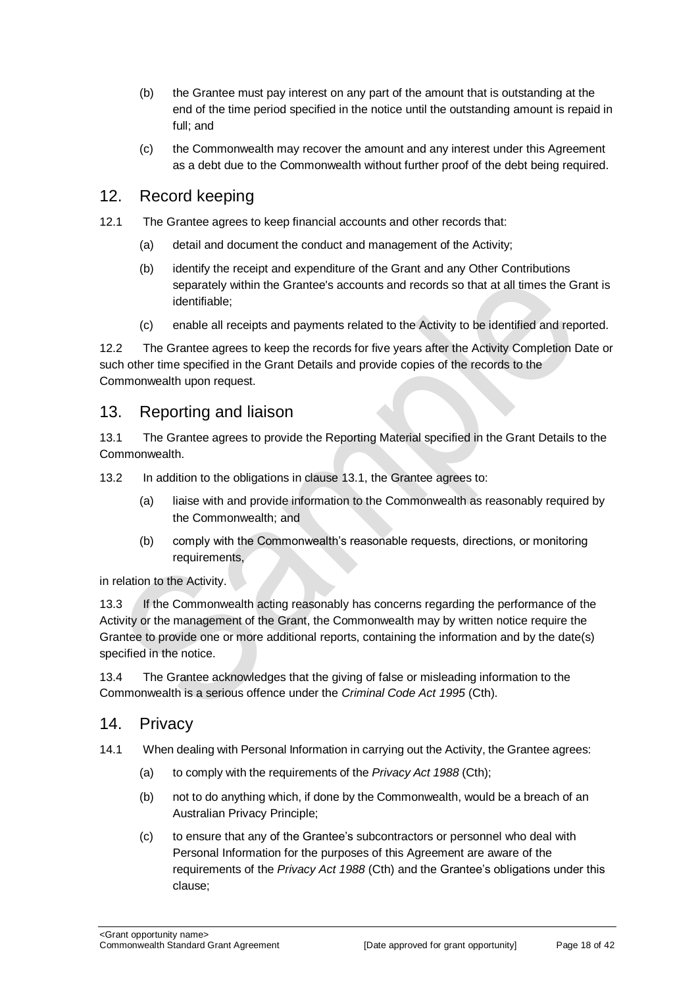- (b) the Grantee must pay interest on any part of the amount that is outstanding at the end of the time period specified in the notice until the outstanding amount is repaid in full; and
- (c) the Commonwealth may recover the amount and any interest under this Agreement as a debt due to the Commonwealth without further proof of the debt being required.

### 12. Record keeping

- 12.1 The Grantee agrees to keep financial accounts and other records that:
	- (a) detail and document the conduct and management of the Activity;
	- (b) identify the receipt and expenditure of the Grant and any Other Contributions separately within the Grantee's accounts and records so that at all times the Grant is identifiable;
	- (c) enable all receipts and payments related to the Activity to be identified and reported.

12.2 The Grantee agrees to keep the records for five years after the Activity Completion Date or such other time specified in the Grant Details and provide copies of the records to the Commonwealth upon request.

#### 13. Reporting and liaison

13.1 The Grantee agrees to provide the Reporting Material specified in the Grant Details to the Commonwealth.

13.2 In addition to the obligations in clause 13.1, the Grantee agrees to:

- (a) liaise with and provide information to the Commonwealth as reasonably required by the Commonwealth; and
- (b) comply with the Commonwealth's reasonable requests, directions, or monitoring requirements,

in relation to the Activity.

13.3 If the Commonwealth acting reasonably has concerns regarding the performance of the Activity or the management of the Grant, the Commonwealth may by written notice require the Grantee to provide one or more additional reports, containing the information and by the date(s) specified in the notice.

13.4 The Grantee acknowledges that the giving of false or misleading information to the Commonwealth is a serious offence under the *Criminal Code Act 1995* (Cth).

#### 14. Privacy

- 14.1 When dealing with Personal Information in carrying out the Activity, the Grantee agrees:
	- (a) to comply with the requirements of the *Privacy Act 1988* (Cth);
	- (b) not to do anything which, if done by the Commonwealth, would be a breach of an Australian Privacy Principle;
	- (c) to ensure that any of the Grantee's subcontractors or personnel who deal with Personal Information for the purposes of this Agreement are aware of the requirements of the *Privacy Act 1988* (Cth) and the Grantee's obligations under this clause;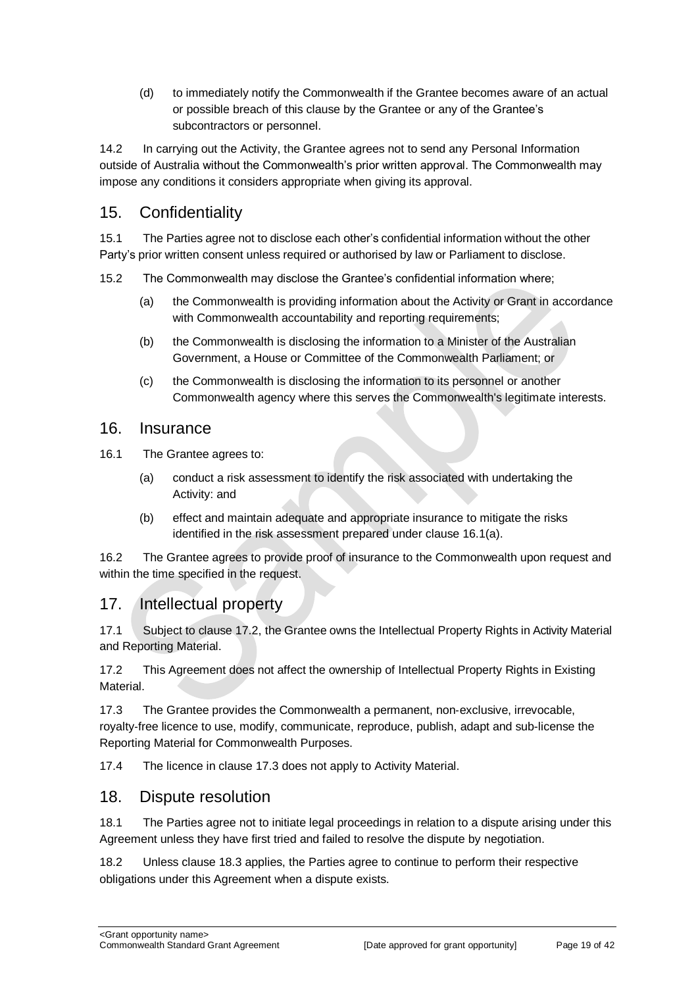(d) to immediately notify the Commonwealth if the Grantee becomes aware of an actual or possible breach of this clause by the Grantee or any of the Grantee's subcontractors or personnel.

14.2 In carrying out the Activity, the Grantee agrees not to send any Personal Information outside of Australia without the Commonwealth's prior written approval. The Commonwealth may impose any conditions it considers appropriate when giving its approval.

## 15. Confidentiality

15.1 The Parties agree not to disclose each other's confidential information without the other Party's prior written consent unless required or authorised by law or Parliament to disclose.

15.2 The Commonwealth may disclose the Grantee's confidential information where;

- (a) the Commonwealth is providing information about the Activity or Grant in accordance with Commonwealth accountability and reporting requirements;
- (b) the Commonwealth is disclosing the information to a Minister of the Australian Government, a House or Committee of the Commonwealth Parliament; or
- (c) the Commonwealth is disclosing the information to its personnel or another Commonwealth agency where this serves the Commonwealth's legitimate interests.

#### 16. Insurance

16.1 The Grantee agrees to:

- (a) conduct a risk assessment to identify the risk associated with undertaking the Activity: and
- (b) effect and maintain adequate and appropriate insurance to mitigate the risks identified in the risk assessment prepared under clause 16.1(a).

16.2 The Grantee agrees to provide proof of insurance to the Commonwealth upon request and within the time specified in the request.

## 17. Intellectual property

17.1 Subject to clause 17.2, the Grantee owns the Intellectual Property Rights in Activity Material and Reporting Material.

17.2 This Agreement does not affect the ownership of Intellectual Property Rights in Existing Material.

17.3 The Grantee provides the Commonwealth a permanent, non-exclusive, irrevocable, royalty‐free licence to use, modify, communicate, reproduce, publish, adapt and sub-license the Reporting Material for Commonwealth Purposes.

17.4 The licence in clause 17.3 does not apply to Activity Material.

#### 18. Dispute resolution

18.1 The Parties agree not to initiate legal proceedings in relation to a dispute arising under this Agreement unless they have first tried and failed to resolve the dispute by negotiation.

18.2 Unless clause 18.3 applies, the Parties agree to continue to perform their respective obligations under this Agreement when a dispute exists.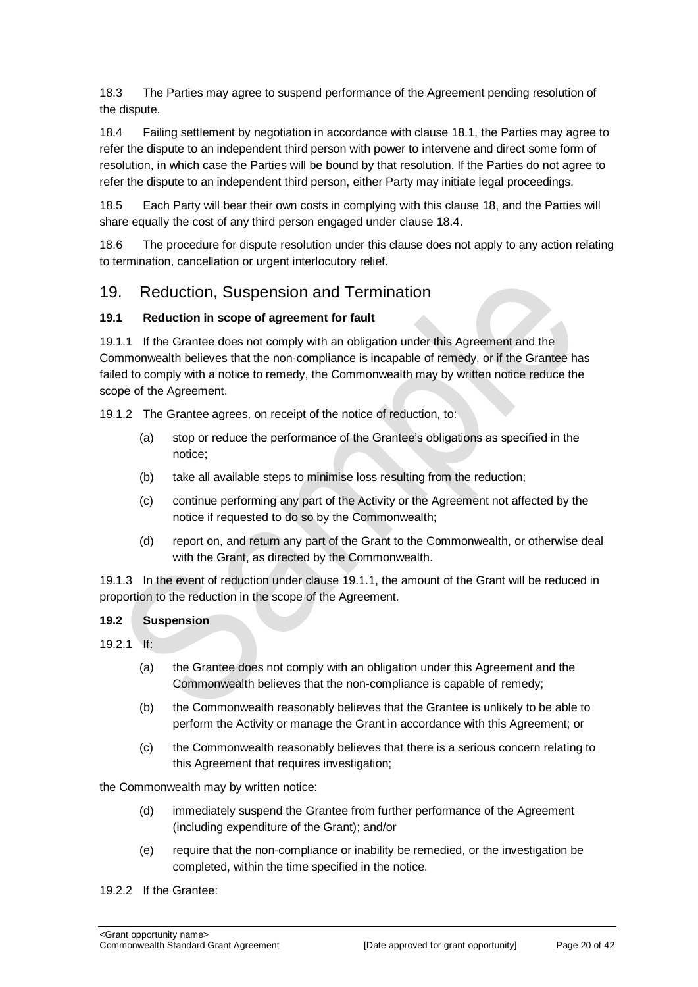18.3 The Parties may agree to suspend performance of the Agreement pending resolution of the dispute.

18.4 Failing settlement by negotiation in accordance with clause 18.1, the Parties may agree to refer the dispute to an independent third person with power to intervene and direct some form of resolution, in which case the Parties will be bound by that resolution. If the Parties do not agree to refer the dispute to an independent third person, either Party may initiate legal proceedings.

18.5 Each Party will bear their own costs in complying with this clause 18, and the Parties will share equally the cost of any third person engaged under clause 18.4.

18.6 The procedure for dispute resolution under this clause does not apply to any action relating to termination, cancellation or urgent interlocutory relief.

### 19. Reduction, Suspension and Termination

#### **19.1 Reduction in scope of agreement for fault**

19.1.1 If the Grantee does not comply with an obligation under this Agreement and the Commonwealth believes that the non‐compliance is incapable of remedy, or if the Grantee has failed to comply with a notice to remedy, the Commonwealth may by written notice reduce the scope of the Agreement.

19.1.2 The Grantee agrees, on receipt of the notice of reduction, to:

- (a) stop or reduce the performance of the Grantee's obligations as specified in the notice;
- (b) take all available steps to minimise loss resulting from the reduction;
- (c) continue performing any part of the Activity or the Agreement not affected by the notice if requested to do so by the Commonwealth;
- (d) report on, and return any part of the Grant to the Commonwealth, or otherwise deal with the Grant, as directed by the Commonwealth.

19.1.3 In the event of reduction under clause 19.1.1, the amount of the Grant will be reduced in proportion to the reduction in the scope of the Agreement.

#### **19.2 Suspension**

- 19.2.1 If:
	- (a) the Grantee does not comply with an obligation under this Agreement and the Commonwealth believes that the non‐compliance is capable of remedy;
	- (b) the Commonwealth reasonably believes that the Grantee is unlikely to be able to perform the Activity or manage the Grant in accordance with this Agreement; or
	- (c) the Commonwealth reasonably believes that there is a serious concern relating to this Agreement that requires investigation;

the Commonwealth may by written notice:

- (d) immediately suspend the Grantee from further performance of the Agreement (including expenditure of the Grant); and/or
- (e) require that the non‐compliance or inability be remedied, or the investigation be completed, within the time specified in the notice.
- 19.2.2 If the Grantee: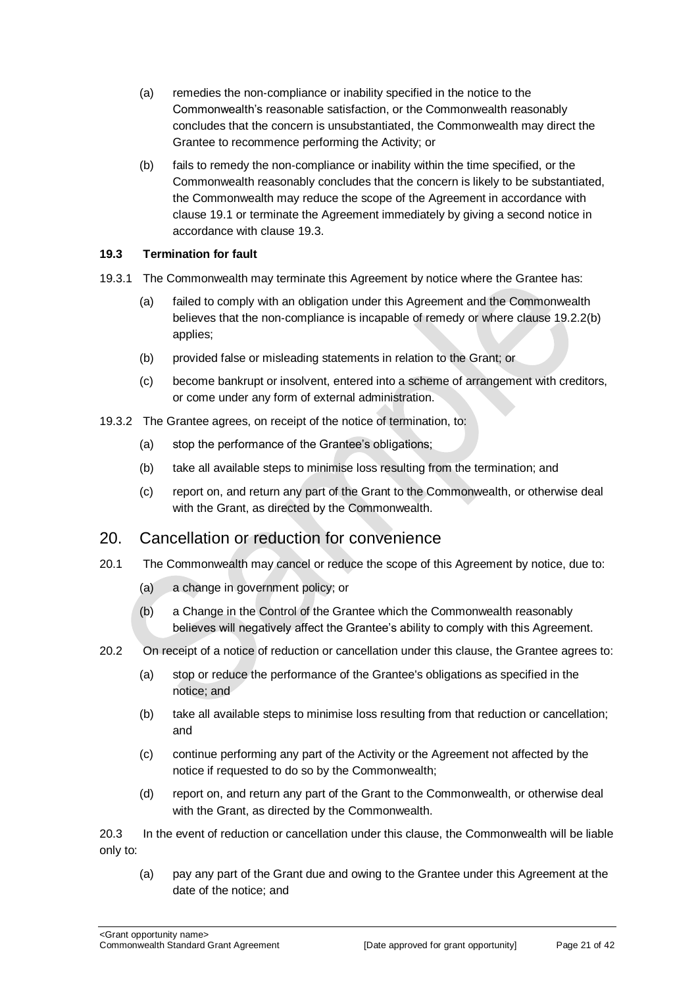- (a) remedies the non‐compliance or inability specified in the notice to the Commonwealth's reasonable satisfaction, or the Commonwealth reasonably concludes that the concern is unsubstantiated, the Commonwealth may direct the Grantee to recommence performing the Activity; or
- (b) fails to remedy the non‐compliance or inability within the time specified, or the Commonwealth reasonably concludes that the concern is likely to be substantiated, the Commonwealth may reduce the scope of the Agreement in accordance with clause 19.1 or terminate the Agreement immediately by giving a second notice in accordance with clause 19.3.

#### **19.3 Termination for fault**

- 19.3.1 The Commonwealth may terminate this Agreement by notice where the Grantee has:
	- (a) failed to comply with an obligation under this Agreement and the Commonwealth believes that the non-compliance is incapable of remedy or where clause 19.2.2(b) applies;
	- (b) provided false or misleading statements in relation to the Grant; or
	- (c) become bankrupt or insolvent, entered into a scheme of arrangement with creditors, or come under any form of external administration.
- 19.3.2 The Grantee agrees, on receipt of the notice of termination, to:
	- (a) stop the performance of the Grantee's obligations;
	- (b) take all available steps to minimise loss resulting from the termination; and
	- (c) report on, and return any part of the Grant to the Commonwealth, or otherwise deal with the Grant, as directed by the Commonwealth.

#### 20. Cancellation or reduction for convenience

- 20.1 The Commonwealth may cancel or reduce the scope of this Agreement by notice, due to:
	- (a) a change in government policy; or
	- (b) a Change in the Control of the Grantee which the Commonwealth reasonably believes will negatively affect the Grantee's ability to comply with this Agreement.
- 20.2 On receipt of a notice of reduction or cancellation under this clause, the Grantee agrees to:
	- (a) stop or reduce the performance of the Grantee's obligations as specified in the notice; and
	- (b) take all available steps to minimise loss resulting from that reduction or cancellation; and
	- (c) continue performing any part of the Activity or the Agreement not affected by the notice if requested to do so by the Commonwealth;
	- (d) report on, and return any part of the Grant to the Commonwealth, or otherwise deal with the Grant, as directed by the Commonwealth.

20.3 In the event of reduction or cancellation under this clause, the Commonwealth will be liable only to:

(a) pay any part of the Grant due and owing to the Grantee under this Agreement at the date of the notice; and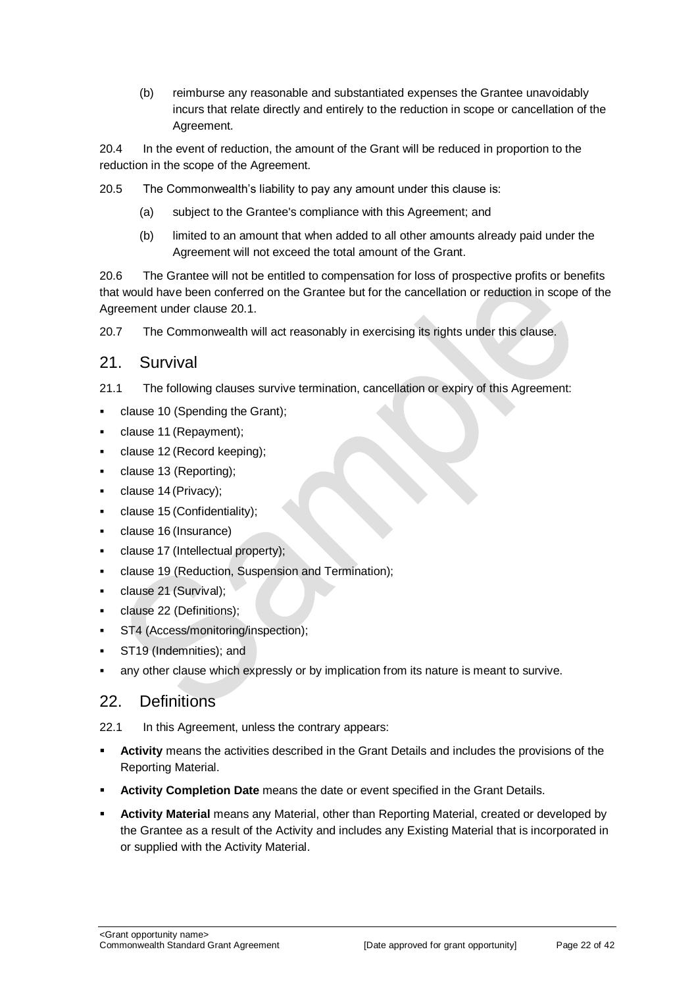(b) reimburse any reasonable and substantiated expenses the Grantee unavoidably incurs that relate directly and entirely to the reduction in scope or cancellation of the Agreement.

20.4 In the event of reduction, the amount of the Grant will be reduced in proportion to the reduction in the scope of the Agreement.

20.5 The Commonwealth's liability to pay any amount under this clause is:

- (a) subject to the Grantee's compliance with this Agreement; and
- (b) limited to an amount that when added to all other amounts already paid under the Agreement will not exceed the total amount of the Grant.

20.6 The Grantee will not be entitled to compensation for loss of prospective profits or benefits that would have been conferred on the Grantee but for the cancellation or reduction in scope of the Agreement under clause 20.1.

20.7 The Commonwealth will act reasonably in exercising its rights under this clause.

### 21. Survival

- 21.1 The following clauses survive termination, cancellation or expiry of this Agreement:
- clause 10 (Spending the Grant);
- clause 11 (Repayment);
- clause 12 (Record keeping);
- clause 13 (Reporting);
- clause 14 (Privacy);
- clause 15 (Confidentiality);
- clause 16 (Insurance)
- clause 17 (Intellectual property);
- clause 19 (Reduction, Suspension and Termination);
- clause 21 (Survival);
- clause 22 (Definitions);
- ST4 (Access/monitoring/inspection);
- ST19 (Indemnities); and
- any other clause which expressly or by implication from its nature is meant to survive.

## 22. Definitions

22.1 In this Agreement, unless the contrary appears:

- **Activity** means the activities described in the Grant Details and includes the provisions of the Reporting Material.
- **Activity Completion Date** means the date or event specified in the Grant Details.
- **Activity Material** means any Material, other than Reporting Material, created or developed by the Grantee as a result of the Activity and includes any Existing Material that is incorporated in or supplied with the Activity Material.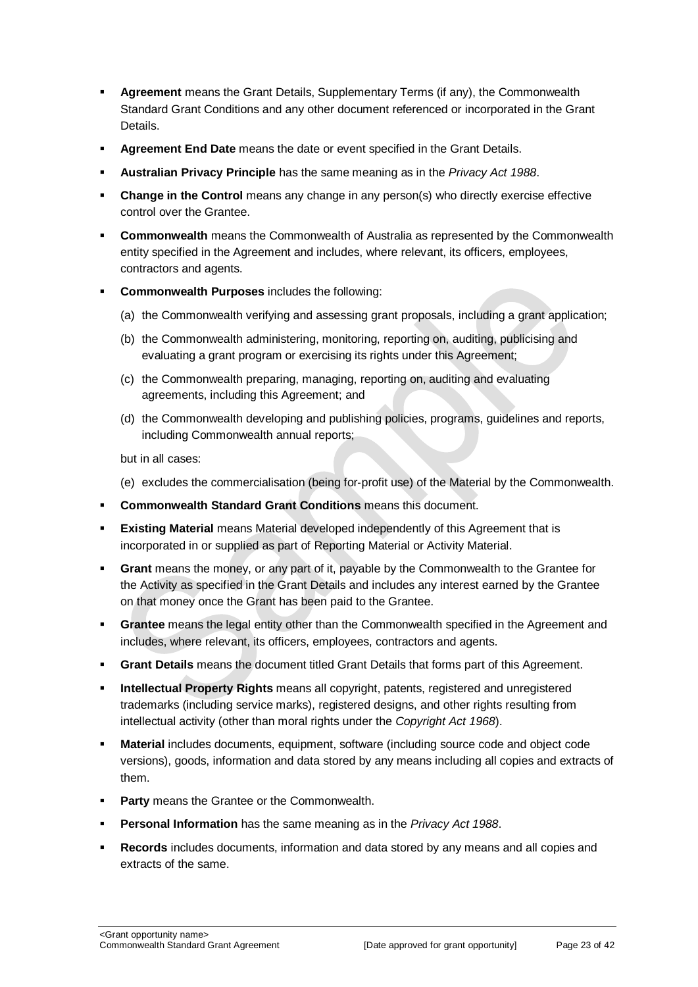- **Agreement** means the Grant Details, Supplementary Terms (if any), the Commonwealth Standard Grant Conditions and any other document referenced or incorporated in the Grant Details.
- **Agreement End Date** means the date or event specified in the Grant Details.
- **Australian Privacy Principle** has the same meaning as in the *Privacy Act 1988*.
- **Change in the Control** means any change in any person(s) who directly exercise effective control over the Grantee.
- **Commonwealth** means the Commonwealth of Australia as represented by the Commonwealth entity specified in the Agreement and includes, where relevant, its officers, employees, contractors and agents.
- **Commonwealth Purposes** includes the following:
	- (a) the Commonwealth verifying and assessing grant proposals, including a grant application;
	- (b) the Commonwealth administering, monitoring, reporting on, auditing, publicising and evaluating a grant program or exercising its rights under this Agreement:
	- (c) the Commonwealth preparing, managing, reporting on, auditing and evaluating agreements, including this Agreement; and
	- (d) the Commonwealth developing and publishing policies, programs, guidelines and reports, including Commonwealth annual reports;

but in all cases:

- (e) excludes the commercialisation (being for‐profit use) of the Material by the Commonwealth.
- **Commonwealth Standard Grant Conditions** means this document.
- **Existing Material** means Material developed independently of this Agreement that is incorporated in or supplied as part of Reporting Material or Activity Material.
- **Grant** means the money, or any part of it, payable by the Commonwealth to the Grantee for the Activity as specified in the Grant Details and includes any interest earned by the Grantee on that money once the Grant has been paid to the Grantee.
- **Grantee** means the legal entity other than the Commonwealth specified in the Agreement and includes, where relevant, its officers, employees, contractors and agents.
- **Grant Details** means the document titled Grant Details that forms part of this Agreement.
- **Intellectual Property Rights** means all copyright, patents, registered and unregistered trademarks (including service marks), registered designs, and other rights resulting from intellectual activity (other than moral rights under the *Copyright Act 1968*).
- **Material** includes documents, equipment, software (including source code and object code versions), goods, information and data stored by any means including all copies and extracts of them.
- **Party** means the Grantee or the Commonwealth.
- **Personal Information** has the same meaning as in the *Privacy Act 1988*.
- **Records** includes documents, information and data stored by any means and all copies and extracts of the same.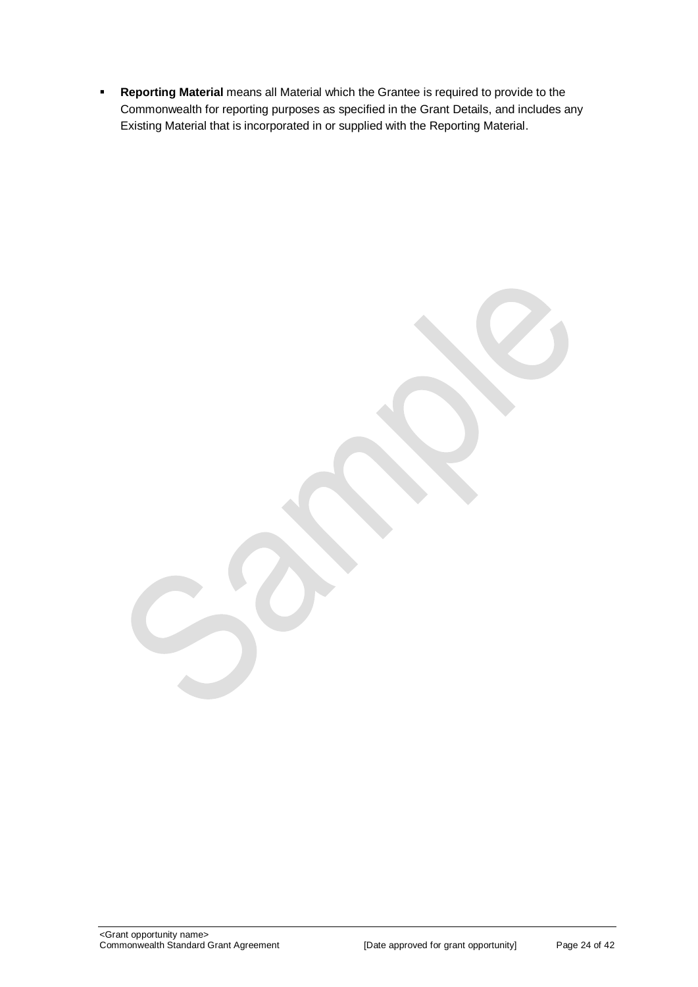**Reporting Material** means all Material which the Grantee is required to provide to the Commonwealth for reporting purposes as specified in the Grant Details, and includes any Existing Material that is incorporated in or supplied with the Reporting Material.

<Grant opportunity name>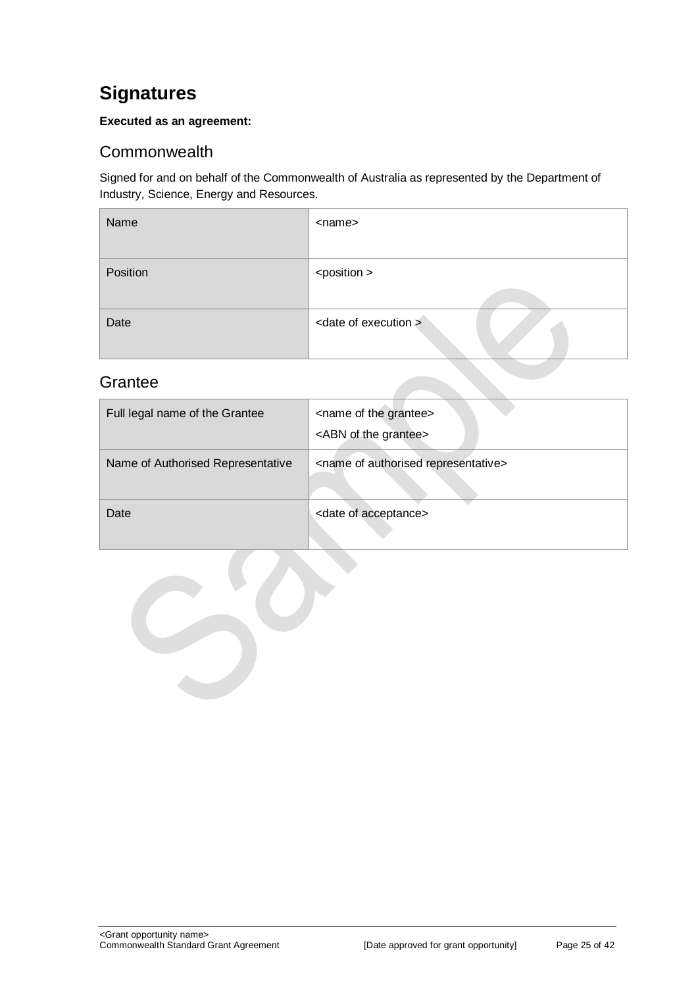## <span id="page-24-0"></span>**Signatures**

#### **Executed as an agreement:**

## <span id="page-24-1"></span>**Commonwealth**

Signed for and on behalf of the Commonwealth of Australia as represented by the Department of Industry, Science, Energy and Resources.

| Name     | <name></name>                    |
|----------|----------------------------------|
| Position | <position></position>            |
| Date     | <date execution="" of=""></date> |

## <span id="page-24-2"></span>**Grantee**

| Full legal name of the Grantee    | <name grantee="" of="" the=""><br/><abn grantee="" of="" the=""></abn></name> |
|-----------------------------------|-------------------------------------------------------------------------------|
| Name of Authorised Representative | <name authorised="" of="" representative=""></name>                           |
| Date                              | <date acceptance="" of=""></date>                                             |

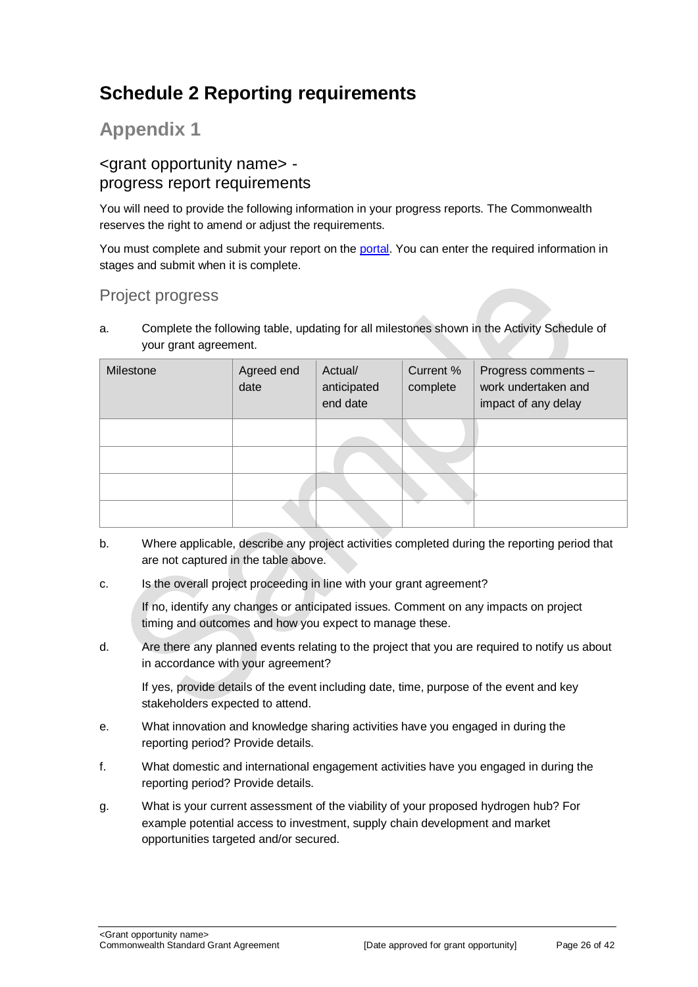## <span id="page-25-0"></span>**Schedule 2 Reporting requirements**

## **Appendix 1**

## <grant opportunity name> progress report requirements

You will need to provide the following information in your progress reports. The Commonwealth reserves the right to amend or adjust the requirements.

You must complete and submit your report on the [portal.](https://portal.business.gov.au/) You can enter the required information in stages and submit when it is complete.

## Project progress

a. Complete the following table, updating for all milestones shown in the Activity Schedule of your grant agreement.

| Milestone | Agreed end<br>date | Actual/<br>anticipated<br>end date | Current %<br>complete | Progress comments -<br>work undertaken and<br>impact of any delay |
|-----------|--------------------|------------------------------------|-----------------------|-------------------------------------------------------------------|
|           |                    |                                    |                       |                                                                   |
|           |                    |                                    |                       |                                                                   |
|           |                    |                                    |                       |                                                                   |
|           |                    |                                    |                       |                                                                   |

- b. Where applicable, describe any project activities completed during the reporting period that are not captured in the table above.
- c. Is the overall project proceeding in line with your grant agreement?

If no, identify any changes or anticipated issues. Comment on any impacts on project timing and outcomes and how you expect to manage these.

d. Are there any planned events relating to the project that you are required to notify us about in accordance with your agreement?

If yes, provide details of the event including date, time, purpose of the event and key stakeholders expected to attend.

- e. What innovation and knowledge sharing activities have you engaged in during the reporting period? Provide details.
- f. What domestic and international engagement activities have you engaged in during the reporting period? Provide details.
- g. What is your current assessment of the viability of your proposed hydrogen hub? For example potential access to investment, supply chain development and market opportunities targeted and/or secured.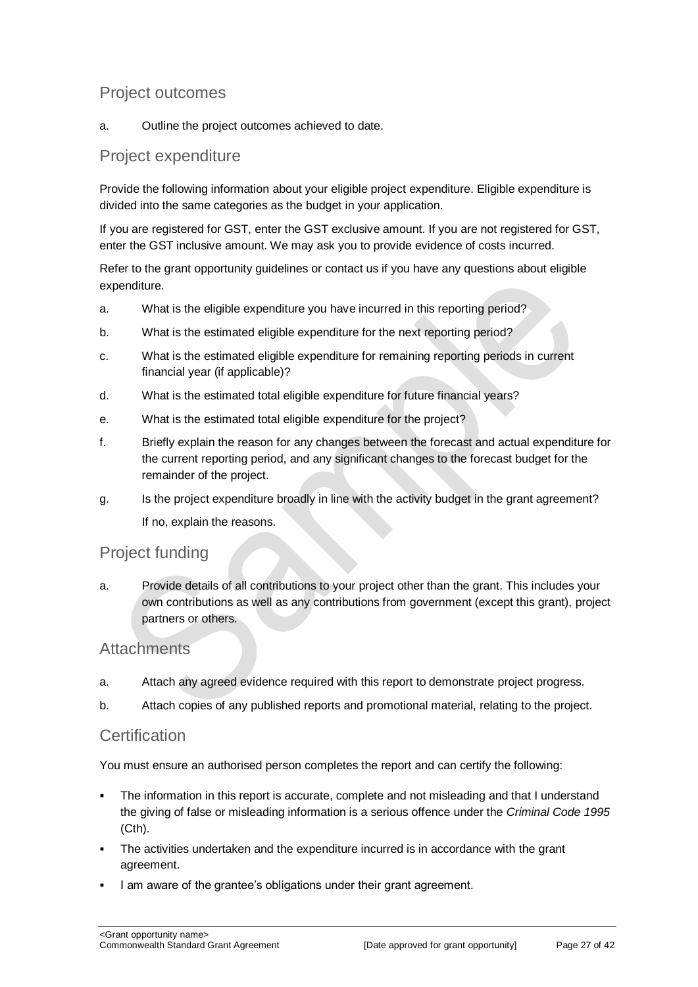## Project outcomes

a. Outline the project outcomes achieved to date.

## Project expenditure

Provide the following information about your eligible project expenditure. Eligible expenditure is divided into the same categories as the budget in your application.

If you are registered for GST, enter the GST exclusive amount. If you are not registered for GST, enter the GST inclusive amount. We may ask you to provide evidence of costs incurred.

Refer to the grant opportunity guidelines or contact us if you have any questions about eligible expenditure.

- a. What is the eligible expenditure you have incurred in this reporting period?
- b. What is the estimated eligible expenditure for the next reporting period?
- c. What is the estimated eligible expenditure for remaining reporting periods in current financial year (if applicable)?
- d. What is the estimated total eligible expenditure for future financial years?
- e. What is the estimated total eligible expenditure for the project?
- f. Briefly explain the reason for any changes between the forecast and actual expenditure for the current reporting period, and any significant changes to the forecast budget for the remainder of the project.
- g. Is the project expenditure broadly in line with the activity budget in the grant agreement? If no, explain the reasons.

#### Project funding

a. Provide details of all contributions to your project other than the grant. This includes your own contributions as well as any contributions from government (except this grant), project partners or others.

#### **Attachments**

- a. Attach any agreed evidence required with this report to demonstrate project progress.
- b. Attach copies of any published reports and promotional material, relating to the project.

#### **Certification**

You must ensure an authorised person completes the report and can certify the following:

- The information in this report is accurate, complete and not misleading and that I understand the giving of false or misleading information is a serious offence under the *Criminal Code 1995* (Cth).
- The activities undertaken and the expenditure incurred is in accordance with the grant agreement.
- I am aware of the grantee's obligations under their grant agreement.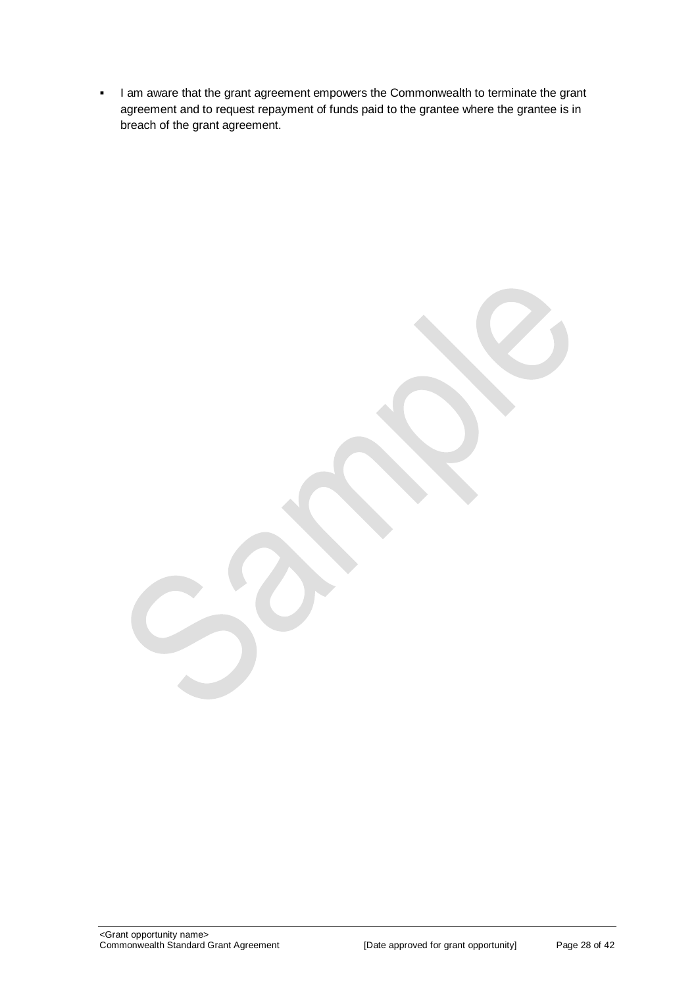I am aware that the grant agreement empowers the Commonwealth to terminate the grant agreement and to request repayment of funds paid to the grantee where the grantee is in breach of the grant agreement.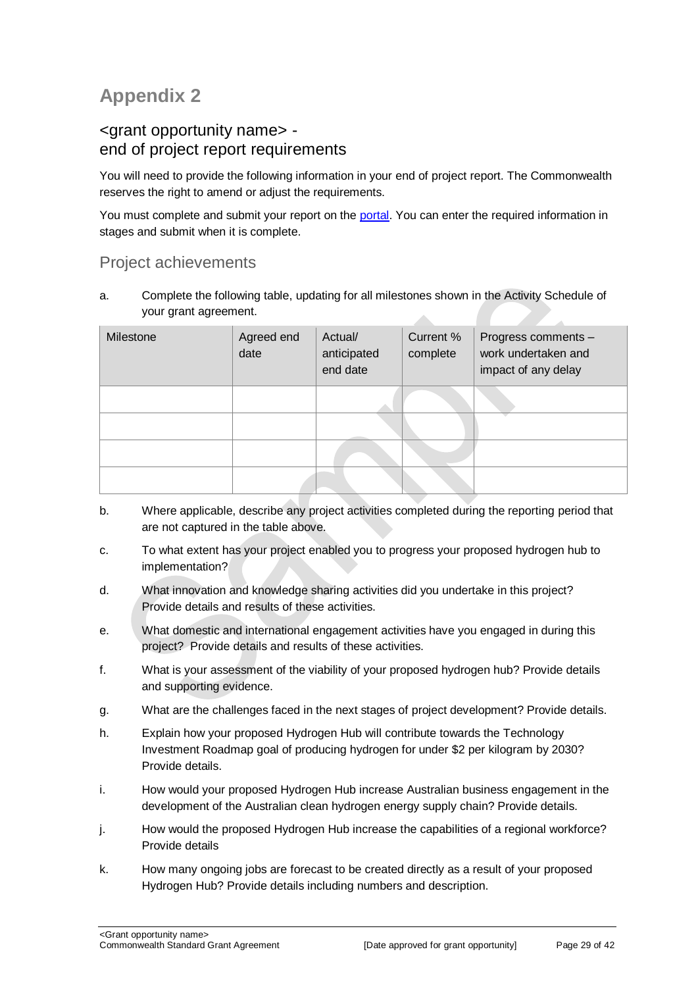## **Appendix 2**

## <grant opportunity name> end of project report requirements

You will need to provide the following information in your end of project report. The Commonwealth reserves the right to amend or adjust the requirements.

You must complete and submit your report on the [portal.](https://portal.business.gov.au/) You can enter the required information in stages and submit when it is complete.

### Project achievements

a. Complete the following table, updating for all milestones shown in the Activity Schedule of your grant agreement.  $\mathcal{L}_{\mathcal{M}}$ 

| Milestone | Agreed end<br>date | Actual/<br>anticipated<br>end date | Current %<br>complete | Progress comments -<br>work undertaken and<br>impact of any delay |
|-----------|--------------------|------------------------------------|-----------------------|-------------------------------------------------------------------|
|           |                    |                                    |                       |                                                                   |
|           |                    |                                    |                       |                                                                   |
|           |                    |                                    |                       |                                                                   |
|           |                    |                                    |                       |                                                                   |

- b. Where applicable, describe any project activities completed during the reporting period that are not captured in the table above.
- c. To what extent has your project enabled you to progress your proposed hydrogen hub to implementation?
- d. What innovation and knowledge sharing activities did you undertake in this project? Provide details and results of these activities.
- e. What domestic and international engagement activities have you engaged in during this project? Provide details and results of these activities.
- f. What is your assessment of the viability of your proposed hydrogen hub? Provide details and supporting evidence.
- g. What are the challenges faced in the next stages of project development? Provide details.
- h. Explain how your proposed Hydrogen Hub will contribute towards the Technology Investment Roadmap goal of producing hydrogen for under \$2 per kilogram by 2030? Provide details.
- i. How would your proposed Hydrogen Hub increase Australian business engagement in the development of the Australian clean hydrogen energy supply chain? Provide details.
- j. How would the proposed Hydrogen Hub increase the capabilities of a regional workforce? Provide details
- k. How many ongoing jobs are forecast to be created directly as a result of your proposed Hydrogen Hub? Provide details including numbers and description.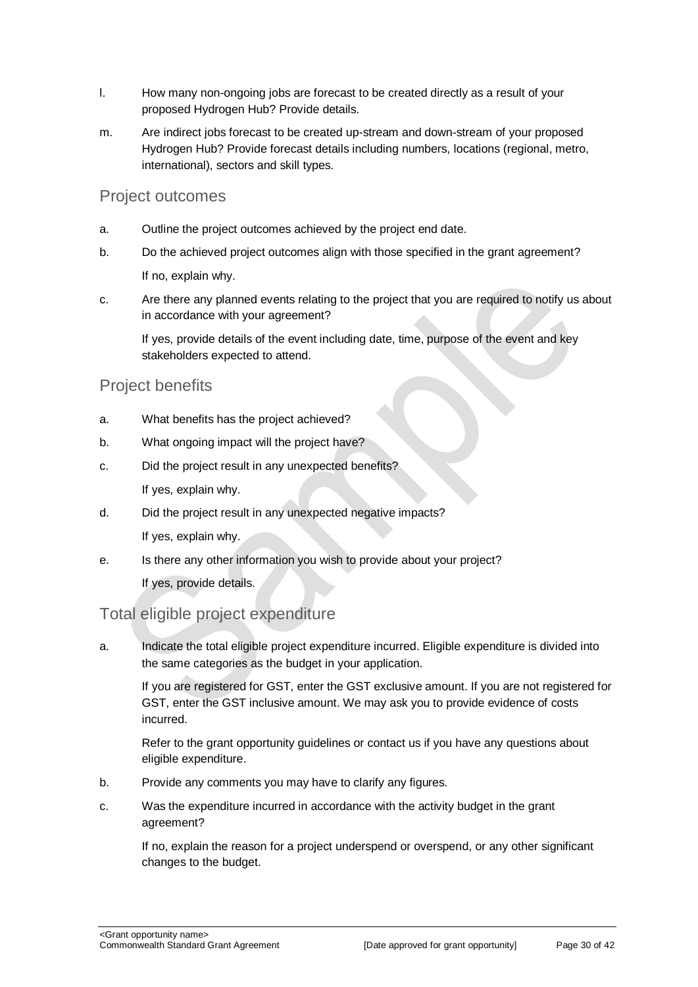- l. How many non-ongoing jobs are forecast to be created directly as a result of your proposed Hydrogen Hub? Provide details.
- m. Are indirect jobs forecast to be created up-stream and down-stream of your proposed Hydrogen Hub? Provide forecast details including numbers, locations (regional, metro, international), sectors and skill types.

#### Project outcomes

- a. Outline the project outcomes achieved by the project end date.
- b. Do the achieved project outcomes align with those specified in the grant agreement? If no, explain why.
- c. Are there any planned events relating to the project that you are required to notify us about in accordance with your agreement?

If yes, provide details of the event including date, time, purpose of the event and key stakeholders expected to attend.

#### Project benefits

- a. What benefits has the project achieved?
- b. What ongoing impact will the project have?
- c. Did the project result in any unexpected benefits?

If yes, explain why.

d. Did the project result in any unexpected negative impacts?

If yes, explain why.

e. Is there any other information you wish to provide about your project?

If yes, provide details.

#### Total eligible project expenditure

a. Indicate the total eligible project expenditure incurred. Eligible expenditure is divided into the same categories as the budget in your application.

If you are registered for GST, enter the GST exclusive amount. If you are not registered for GST, enter the GST inclusive amount. We may ask you to provide evidence of costs incurred.

Refer to the grant opportunity guidelines or contact us if you have any questions about eligible expenditure.

- b. Provide any comments you may have to clarify any figures.
- c. Was the expenditure incurred in accordance with the activity budget in the grant agreement?

If no, explain the reason for a project underspend or overspend, or any other significant changes to the budget.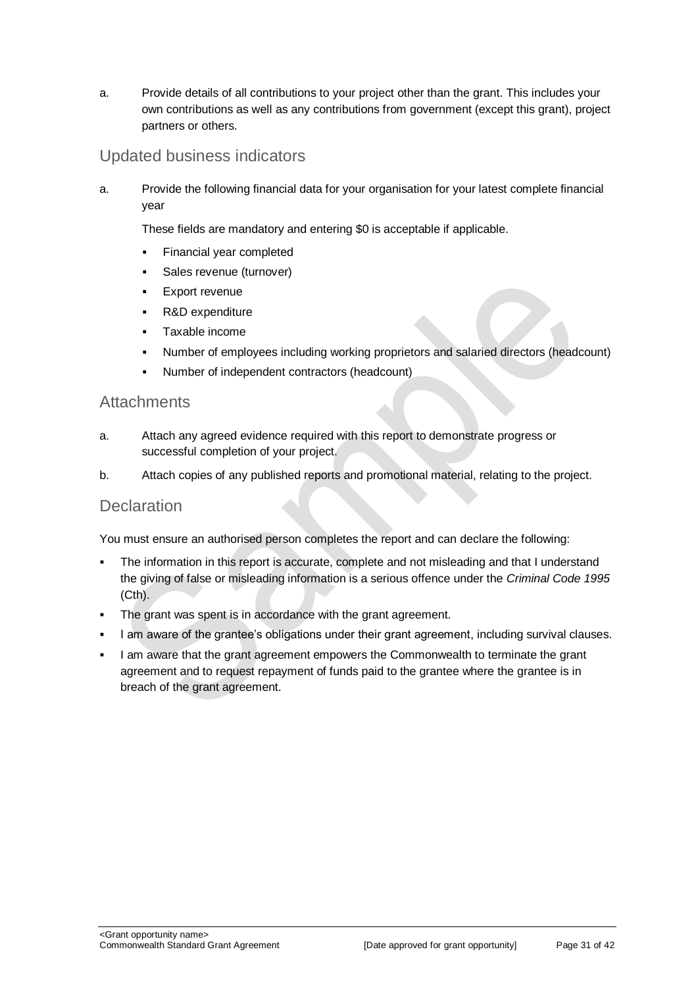a. Provide details of all contributions to your project other than the grant. This includes your own contributions as well as any contributions from government (except this grant), project partners or others.

## Updated business indicators

a. Provide the following financial data for your organisation for your latest complete financial year

These fields are mandatory and entering \$0 is acceptable if applicable.

- **Financial year completed**
- **Sales revenue (turnover)**
- **Export revenue**
- R&D expenditure
- Taxable income
- Number of employees including working proprietors and salaried directors (headcount)
- Number of independent contractors (headcount)

#### **Attachments**

- a. Attach any agreed evidence required with this report to demonstrate progress or successful completion of your project.
- b. Attach copies of any published reports and promotional material, relating to the project.

#### **Declaration**

You must ensure an authorised person completes the report and can declare the following:

- The information in this report is accurate, complete and not misleading and that I understand the giving of false or misleading information is a serious offence under the *Criminal Code 1995* (Cth).
- The grant was spent is in accordance with the grant agreement.
- I am aware of the grantee's obligations under their grant agreement, including survival clauses.
- I am aware that the grant agreement empowers the Commonwealth to terminate the grant agreement and to request repayment of funds paid to the grantee where the grantee is in breach of the grant agreement.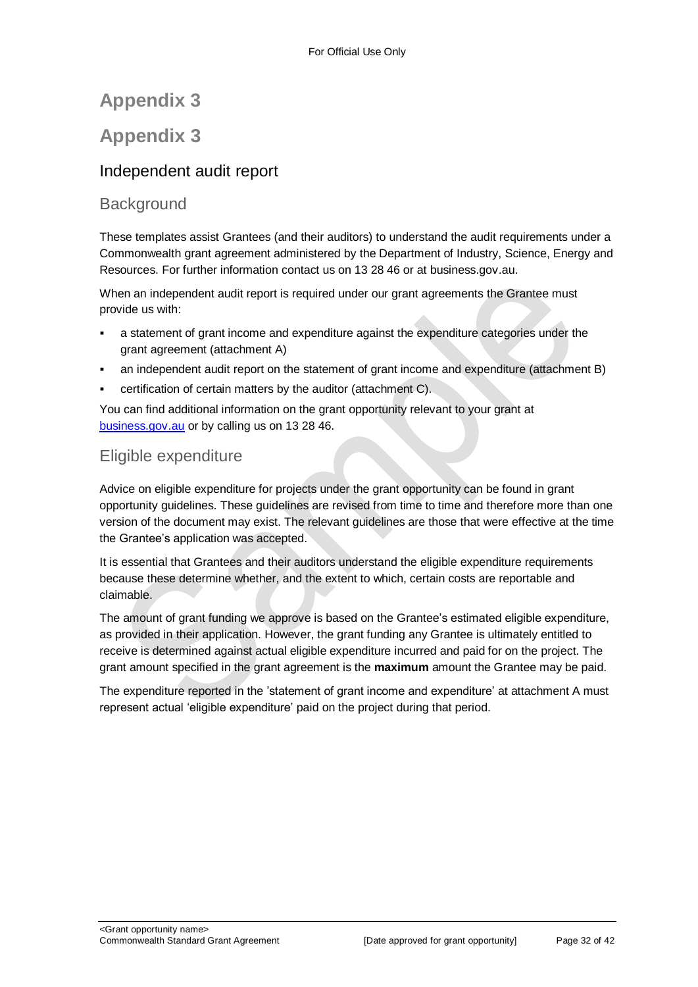## **Appendix 3**

## **Appendix 3**

## Independent audit report

## **Background**

These templates assist Grantees (and their auditors) to understand the audit requirements under a Commonwealth grant agreement administered by the Department of Industry, Science, Energy and Resources. For further information contact us on 13 28 46 or at business.gov.au.

When an independent audit report is required under our grant agreements the Grantee must provide us with:

- a statement of grant income and expenditure against the expenditure categories under the grant agreement (attachment A)
- an independent audit report on the statement of grant income and expenditure (attachment B)
- certification of certain matters by the auditor (attachment C).

You can find additional information on the grant opportunity relevant to your grant at [business.gov.au](https://www.business.gov.au/) or by calling us on 13 28 46.

## Eligible expenditure

Advice on eligible expenditure for projects under the grant opportunity can be found in grant opportunity guidelines. These guidelines are revised from time to time and therefore more than one version of the document may exist. The relevant guidelines are those that were effective at the time the Grantee's application was accepted.

It is essential that Grantees and their auditors understand the eligible expenditure requirements because these determine whether, and the extent to which, certain costs are reportable and claimable.

The amount of grant funding we approve is based on the Grantee's estimated eligible expenditure, as provided in their application. However, the grant funding any Grantee is ultimately entitled to receive is determined against actual eligible expenditure incurred and paid for on the project. The grant amount specified in the grant agreement is the **maximum** amount the Grantee may be paid.

The expenditure reported in the 'statement of grant income and expenditure' at attachment A must represent actual 'eligible expenditure' paid on the project during that period.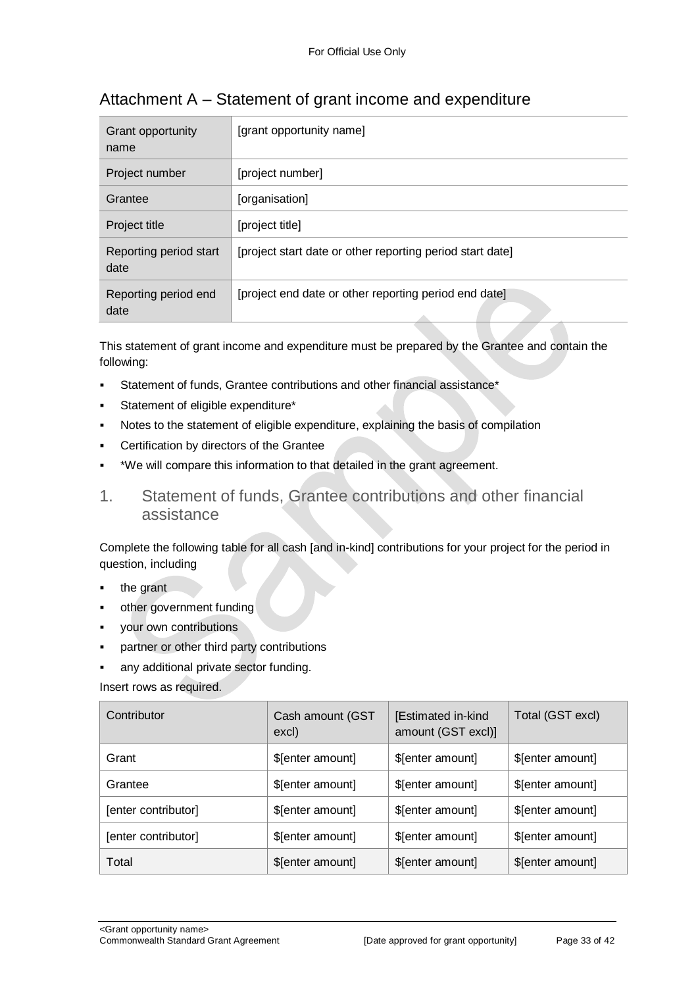| Grant opportunity<br>name      | [grant opportunity name]                                  |
|--------------------------------|-----------------------------------------------------------|
| Project number                 | [project number]                                          |
| Grantee                        | [organisation]                                            |
| Project title                  | [project title]                                           |
| Reporting period start<br>date | [project start date or other reporting period start date] |
| Reporting period end<br>date   | [project end date or other reporting period end date]     |

## Attachment A – Statement of grant income and expenditure

This statement of grant income and expenditure must be prepared by the Grantee and contain the following:

- Statement of funds, Grantee contributions and other financial assistance\*
- Statement of eligible expenditure\*
- Notes to the statement of eligible expenditure, explaining the basis of compilation
- Certification by directors of the Grantee
- \*We will compare this information to that detailed in the grant agreement.
- 1. Statement of funds, Grantee contributions and other financial assistance

Complete the following table for all cash [and in-kind] contributions for your project for the period in question, including

- the grant
- other government funding
- your own contributions
- partner or other third party contributions
- any additional private sector funding.

Insert rows as required.

| Contributor         | Cash amount (GST<br>excl) | [Estimated in-kind<br>amount (GST excl)] | Total (GST excl) |
|---------------------|---------------------------|------------------------------------------|------------------|
| Grant               | \$[enter amount]          | \$[enter amount]                         | \$[enter amount] |
| Grantee             | \$[enter amount]          | \$[enter amount]                         | \$[enter amount] |
| [enter contributor] | \$[enter amount]          | \$[enter amount]                         | \$[enter amount] |
| [enter contributor] | \$[enter amount]          | \$[enter amount]                         | \$[enter amount] |
| Total               | \$[enter amount]          | \$[enter amount]                         | \$[enter amount] |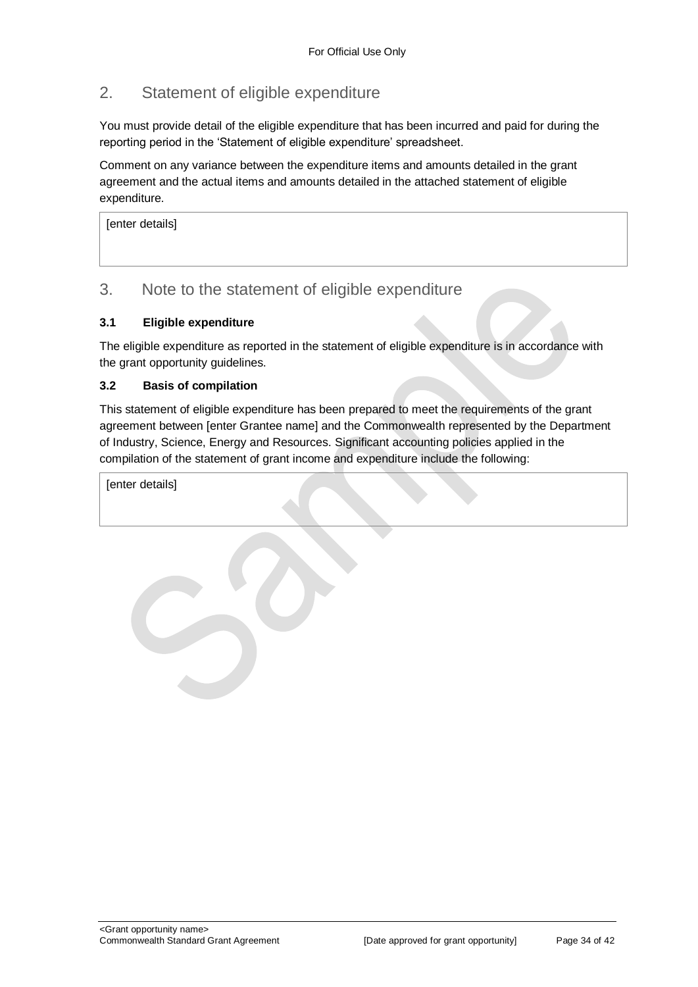## 2. Statement of eligible expenditure

You must provide detail of the eligible expenditure that has been incurred and paid for during the reporting period in the 'Statement of eligible expenditure' spreadsheet.

Comment on any variance between the expenditure items and amounts detailed in the grant agreement and the actual items and amounts detailed in the attached statement of eligible expenditure.

[enter details]

## 3. Note to the statement of eligible expenditure

#### **3.1 Eligible expenditure**

The eligible expenditure as reported in the statement of eligible expenditure is in accordance with the grant opportunity guidelines.

#### **3.2 Basis of compilation**

This statement of eligible expenditure has been prepared to meet the requirements of the grant agreement between [enter Grantee name] and the Commonwealth represented by the Department of Industry, Science, Energy and Resources. Significant accounting policies applied in the compilation of the statement of grant income and expenditure include the following:

[enter details]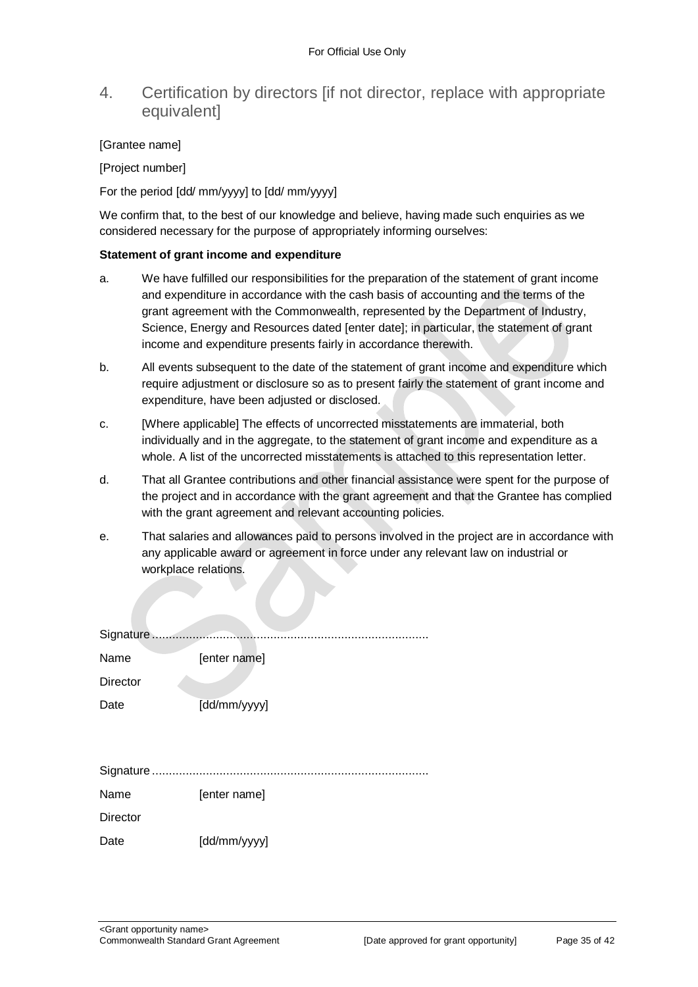## 4. Certification by directors [if not director, replace with appropriate equivalent]

#### [Grantee name]

[Project number]

For the period [dd/ mm/yyyy] to [dd/ mm/yyyy]

We confirm that, to the best of our knowledge and believe, having made such enquiries as we considered necessary for the purpose of appropriately informing ourselves:

#### **Statement of grant income and expenditure**

- a. We have fulfilled our responsibilities for the preparation of the statement of grant income and expenditure in accordance with the cash basis of accounting and the terms of the grant agreement with the Commonwealth, represented by the Department of Industry, Science, Energy and Resources dated [enter date]; in particular, the statement of grant income and expenditure presents fairly in accordance therewith.
- b. All events subsequent to the date of the statement of grant income and expenditure which require adjustment or disclosure so as to present fairly the statement of grant income and expenditure, have been adjusted or disclosed.
- c. [Where applicable] The effects of uncorrected misstatements are immaterial, both individually and in the aggregate, to the statement of grant income and expenditure as a whole. A list of the uncorrected misstatements is attached to this representation letter.
- d. That all Grantee contributions and other financial assistance were spent for the purpose of the project and in accordance with the grant agreement and that the Grantee has complied with the grant agreement and relevant accounting policies.
- e. That salaries and allowances paid to persons involved in the project are in accordance with any applicable award or agreement in force under any relevant law on industrial or workplace relations.

| Name            | [enter name] |
|-----------------|--------------|
| <b>Director</b> |              |
| Date            | [dd/mm/yyyy] |
|                 |              |
|                 |              |
|                 |              |
| Name            | [enter name] |
| <b>Director</b> |              |
| Date            | [dd/mm/yyyy] |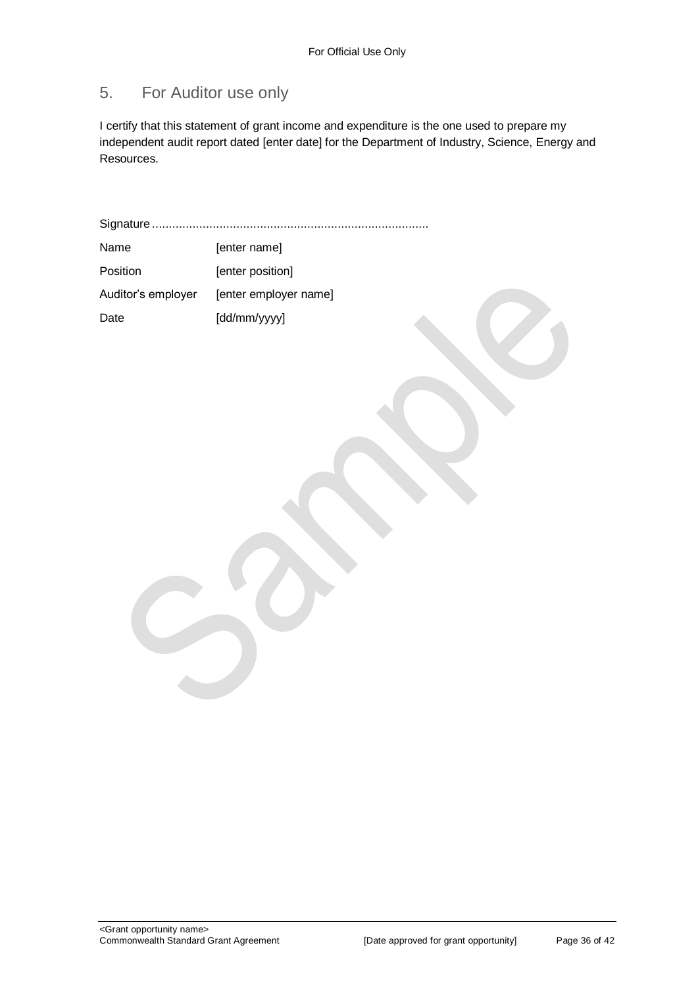## 5. For Auditor use only

I certify that this statement of grant income and expenditure is the one used to prepare my independent audit report dated [enter date] for the Department of Industry, Science, Energy and Resources.

Signature ..................................................................................

| Name               | [enter name]          |
|--------------------|-----------------------|
| Position           | [enter position]      |
| Auditor's employer | [enter employer name] |
| Date               | [dd/mm/yyyy]          |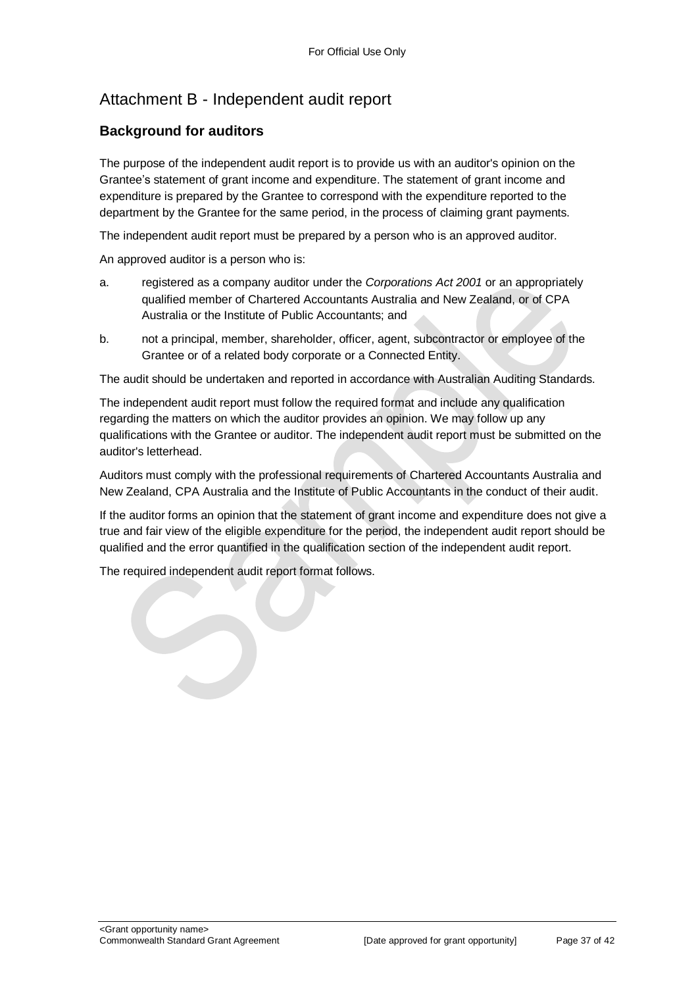## Attachment B - Independent audit report

#### **Background for auditors**

The purpose of the independent audit report is to provide us with an auditor's opinion on the Grantee's statement of grant income and expenditure. The statement of grant income and expenditure is prepared by the Grantee to correspond with the expenditure reported to the department by the Grantee for the same period, in the process of claiming grant payments.

The independent audit report must be prepared by a person who is an approved auditor.

An approved auditor is a person who is:

- a. registered as a company auditor under the *Corporations Act 2001* or an appropriately qualified member of Chartered Accountants Australia and New Zealand, or of CPA Australia or the Institute of Public Accountants; and
- b. not a principal, member, shareholder, officer, agent, subcontractor or employee of the Grantee or of a related body corporate or a Connected Entity.

The audit should be undertaken and reported in accordance with Australian Auditing Standards.

The independent audit report must follow the required format and include any qualification regarding the matters on which the auditor provides an opinion. We may follow up any qualifications with the Grantee or auditor. The independent audit report must be submitted on the auditor's letterhead.

Auditors must comply with the professional requirements of Chartered Accountants Australia and New Zealand, CPA Australia and the Institute of Public Accountants in the conduct of their audit.

If the auditor forms an opinion that the statement of grant income and expenditure does not give a true and fair view of the eligible expenditure for the period, the independent audit report should be qualified and the error quantified in the qualification section of the independent audit report.

The required independent audit report format follows.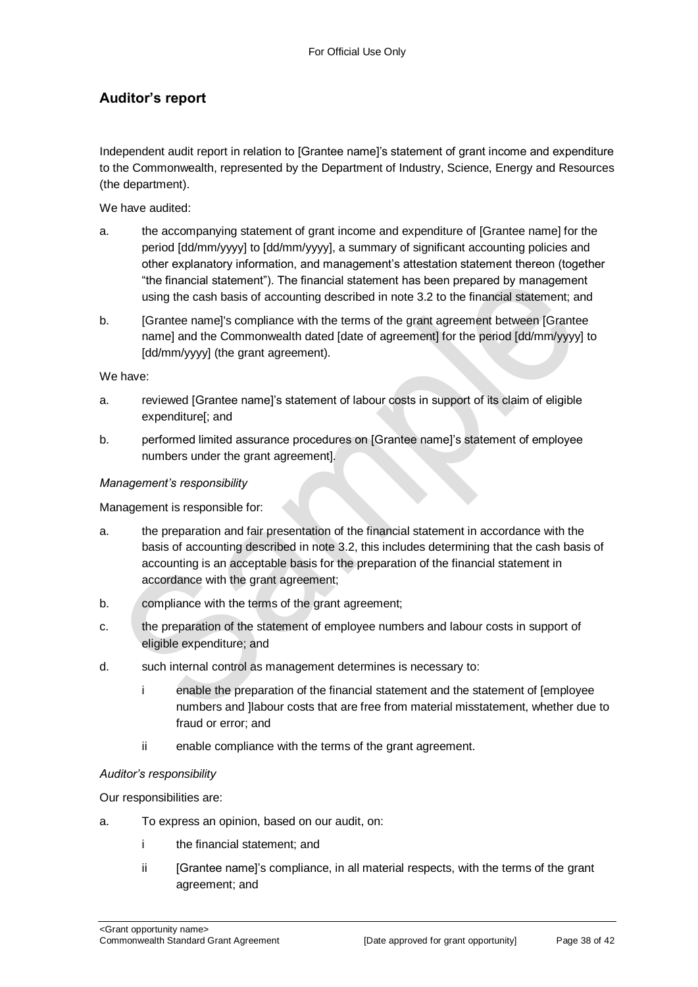#### **Auditor's report**

Independent audit report in relation to [Grantee name]'s statement of grant income and expenditure to the Commonwealth, represented by the Department of Industry, Science, Energy and Resources (the department).

We have audited:

- a. the accompanying statement of grant income and expenditure of [Grantee name] for the period [dd/mm/yyyy] to [dd/mm/yyyy], a summary of significant accounting policies and other explanatory information, and management's attestation statement thereon (together "the financial statement"). The financial statement has been prepared by management using the cash basis of accounting described in note 3.2 to the financial statement; and
- b. [Grantee name]'s compliance with the terms of the grant agreement between [Grantee name] and the Commonwealth dated [date of agreement] for the period [dd/mm/yyyy] to [dd/mm/yyyy] (the grant agreement).

We have:

- a. reviewed [Grantee name]'s statement of labour costs in support of its claim of eligible expenditure[; and
- b. performed limited assurance procedures on [Grantee name]'s statement of employee numbers under the grant agreement].

#### *Management's responsibility*

Management is responsible for:

- a. the preparation and fair presentation of the financial statement in accordance with the basis of accounting described in note 3.2, this includes determining that the cash basis of accounting is an acceptable basis for the preparation of the financial statement in accordance with the grant agreement;
- b. compliance with the terms of the grant agreement;
- c. the preparation of the statement of employee numbers and labour costs in support of eligible expenditure; and
- d. such internal control as management determines is necessary to:
	- i enable the preparation of the financial statement and the statement of [employee numbers and ]labour costs that are free from material misstatement, whether due to fraud or error; and
	- ii enable compliance with the terms of the grant agreement.

#### *Auditor's responsibility*

Our responsibilities are:

- a. To express an opinion, based on our audit, on:
	- i the financial statement; and
	- ii [Grantee name]'s compliance, in all material respects, with the terms of the grant agreement; and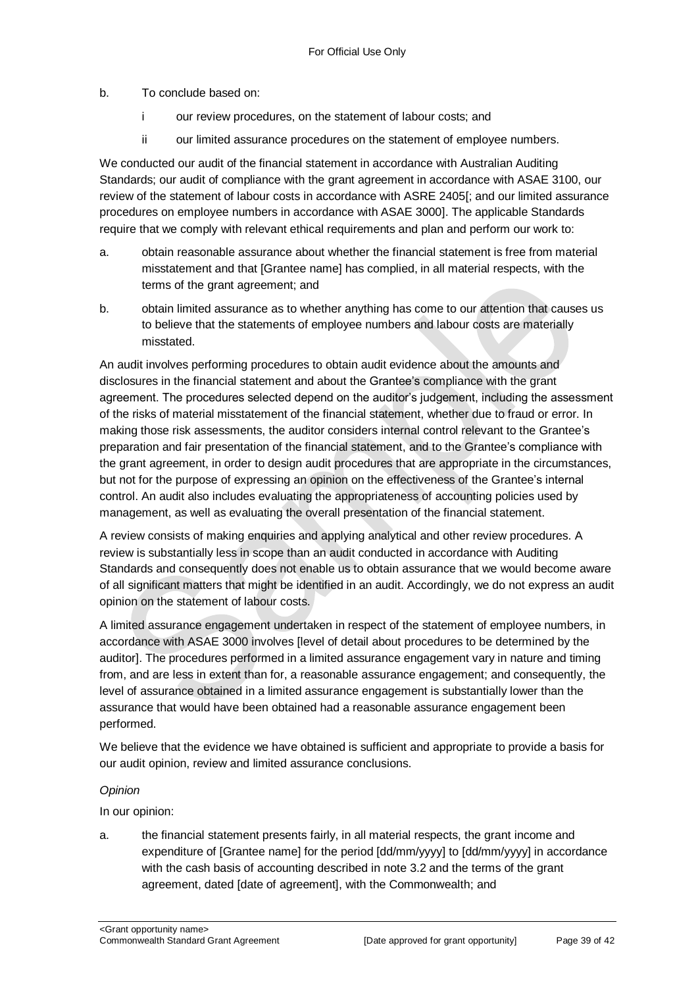b. To conclude based on:

- i our review procedures, on the statement of labour costs; and
- ii our limited assurance procedures on the statement of employee numbers.

We conducted our audit of the financial statement in accordance with Australian Auditing Standards; our audit of compliance with the grant agreement in accordance with ASAE 3100, our review of the statement of labour costs in accordance with ASRE 2405[; and our limited assurance procedures on employee numbers in accordance with ASAE 3000]. The applicable Standards require that we comply with relevant ethical requirements and plan and perform our work to:

- a. obtain reasonable assurance about whether the financial statement is free from material misstatement and that [Grantee name] has complied, in all material respects, with the terms of the grant agreement; and
- b. obtain limited assurance as to whether anything has come to our attention that causes us to believe that the statements of employee numbers and labour costs are materially misstated.

An audit involves performing procedures to obtain audit evidence about the amounts and disclosures in the financial statement and about the Grantee's compliance with the grant agreement. The procedures selected depend on the auditor's judgement, including the assessment of the risks of material misstatement of the financial statement, whether due to fraud or error. In making those risk assessments, the auditor considers internal control relevant to the Grantee's preparation and fair presentation of the financial statement, and to the Grantee's compliance with the grant agreement, in order to design audit procedures that are appropriate in the circumstances, but not for the purpose of expressing an opinion on the effectiveness of the Grantee's internal control. An audit also includes evaluating the appropriateness of accounting policies used by management, as well as evaluating the overall presentation of the financial statement.

A review consists of making enquiries and applying analytical and other review procedures. A review is substantially less in scope than an audit conducted in accordance with Auditing Standards and consequently does not enable us to obtain assurance that we would become aware of all significant matters that might be identified in an audit. Accordingly, we do not express an audit opinion on the statement of labour costs.

A limited assurance engagement undertaken in respect of the statement of employee numbers, in accordance with ASAE 3000 involves [level of detail about procedures to be determined by the auditor]. The procedures performed in a limited assurance engagement vary in nature and timing from, and are less in extent than for, a reasonable assurance engagement; and consequently, the level of assurance obtained in a limited assurance engagement is substantially lower than the assurance that would have been obtained had a reasonable assurance engagement been performed.

We believe that the evidence we have obtained is sufficient and appropriate to provide a basis for our audit opinion, review and limited assurance conclusions.

#### *Opinion*

In our opinion:

a. the financial statement presents fairly, in all material respects, the grant income and expenditure of [Grantee name] for the period [dd/mm/yyyy] to [dd/mm/yyyy] in accordance with the cash basis of accounting described in note 3.2 and the terms of the grant agreement, dated [date of agreement], with the Commonwealth; and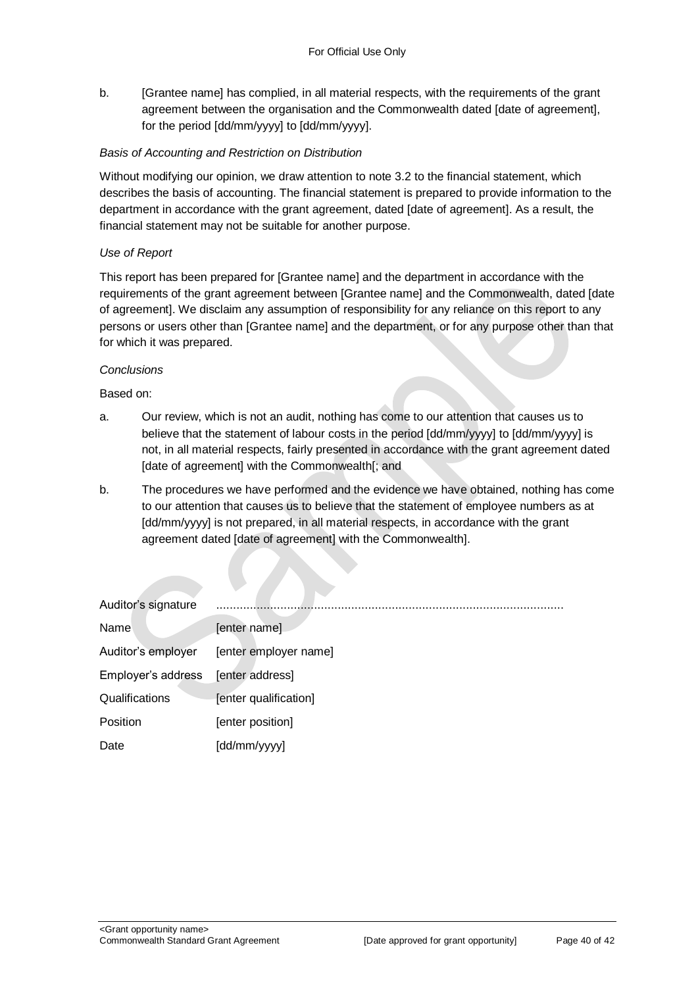b. [Grantee name] has complied, in all material respects, with the requirements of the grant agreement between the organisation and the Commonwealth dated [date of agreement], for the period [dd/mm/yyyy] to [dd/mm/yyyy].

#### *Basis of Accounting and Restriction on Distribution*

Without modifying our opinion, we draw attention to note 3.2 to the financial statement, which describes the basis of accounting. The financial statement is prepared to provide information to the department in accordance with the grant agreement, dated [date of agreement]. As a result, the financial statement may not be suitable for another purpose.

#### *Use of Report*

This report has been prepared for [Grantee name] and the department in accordance with the requirements of the grant agreement between [Grantee name] and the Commonwealth, dated [date of agreement]. We disclaim any assumption of responsibility for any reliance on this report to any persons or users other than [Grantee name] and the department, or for any purpose other than that for which it was prepared.

#### *Conclusions*

Based on:

- a. Our review, which is not an audit, nothing has come to our attention that causes us to believe that the statement of labour costs in the period [dd/mm/yyyy] to [dd/mm/yyyy] is not, in all material respects, fairly presented in accordance with the grant agreement dated [date of agreement] with the Commonwealth[; and
- b. The procedures we have performed and the evidence we have obtained, nothing has come to our attention that causes us to believe that the statement of employee numbers as at [dd/mm/yyyy] is not prepared, in all material respects, in accordance with the grant agreement dated [date of agreement] with the Commonwealth].

| Auditor's signature |                       |
|---------------------|-----------------------|
| Name                | [enter name]          |
| Auditor's employer  | [enter employer name] |
| Employer's address  | [enter address]       |
| Qualifications      | [enter qualification] |
| Position            | [enter position]      |
| Date                | [dd/mm/yyyy]          |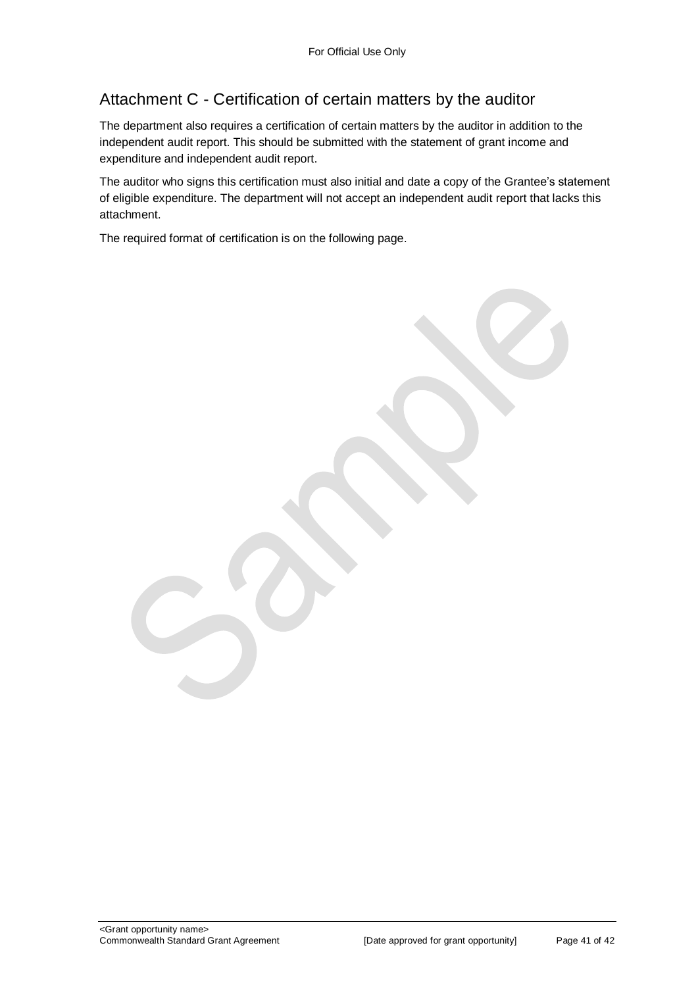## Attachment C - Certification of certain matters by the auditor

The department also requires a certification of certain matters by the auditor in addition to the independent audit report. This should be submitted with the statement of grant income and expenditure and independent audit report.

The auditor who signs this certification must also initial and date a copy of the Grantee's statement of eligible expenditure. The department will not accept an independent audit report that lacks this attachment.

The required format of certification is on the following page.